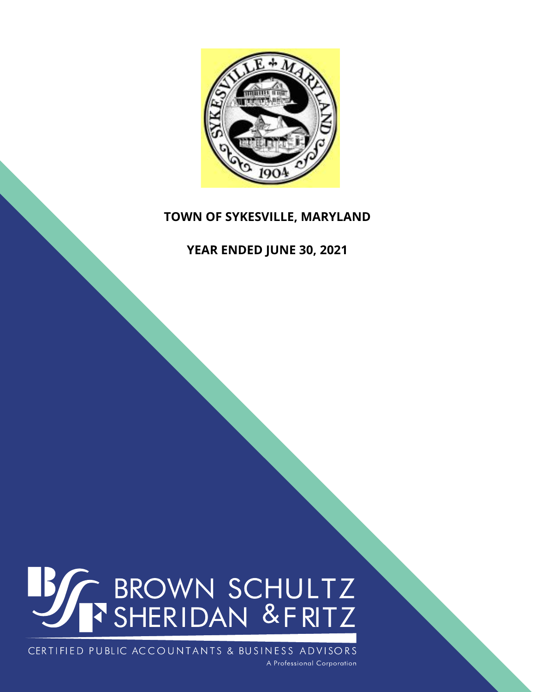

**YEAR ENDED JUNE 30, 2021** 

# **BEAT BROWN SCHULTZ**

CERTIFIED PUBLIC ACCOUNTANTS & BUSINESS ADVISORS A Professional Corporation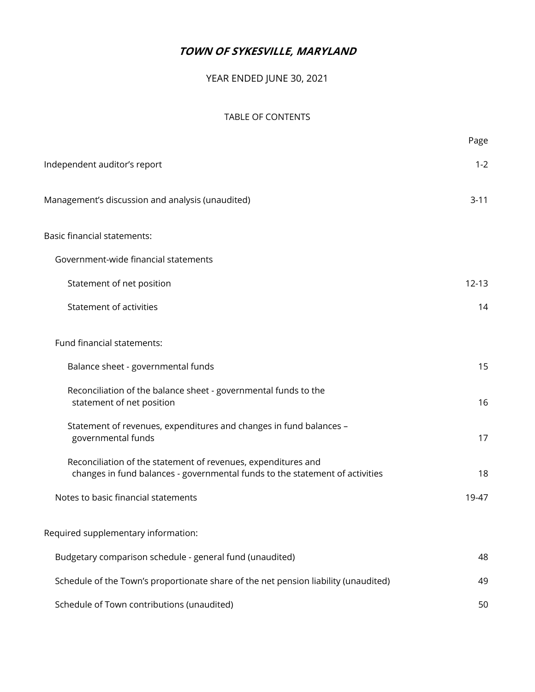YEAR ENDED JUNE 30, 2021

## TABLE OF CONTENTS

|                                                                                                                                               | Page      |
|-----------------------------------------------------------------------------------------------------------------------------------------------|-----------|
| Independent auditor's report                                                                                                                  | $1 - 2$   |
| Management's discussion and analysis (unaudited)                                                                                              | $3 - 11$  |
| <b>Basic financial statements:</b>                                                                                                            |           |
| Government-wide financial statements                                                                                                          |           |
| Statement of net position                                                                                                                     | $12 - 13$ |
| Statement of activities                                                                                                                       | 14        |
| Fund financial statements:                                                                                                                    |           |
| Balance sheet - governmental funds                                                                                                            | 15        |
| Reconciliation of the balance sheet - governmental funds to the<br>statement of net position                                                  | 16        |
| Statement of revenues, expenditures and changes in fund balances -<br>governmental funds                                                      | 17        |
| Reconciliation of the statement of revenues, expenditures and<br>changes in fund balances - governmental funds to the statement of activities | 18        |
| Notes to basic financial statements                                                                                                           | 19-47     |
| Required supplementary information:                                                                                                           |           |
| Budgetary comparison schedule - general fund (unaudited)                                                                                      | 48        |
| Schedule of the Town's proportionate share of the net pension liability (unaudited)                                                           | 49        |
| Schedule of Town contributions (unaudited)                                                                                                    | 50        |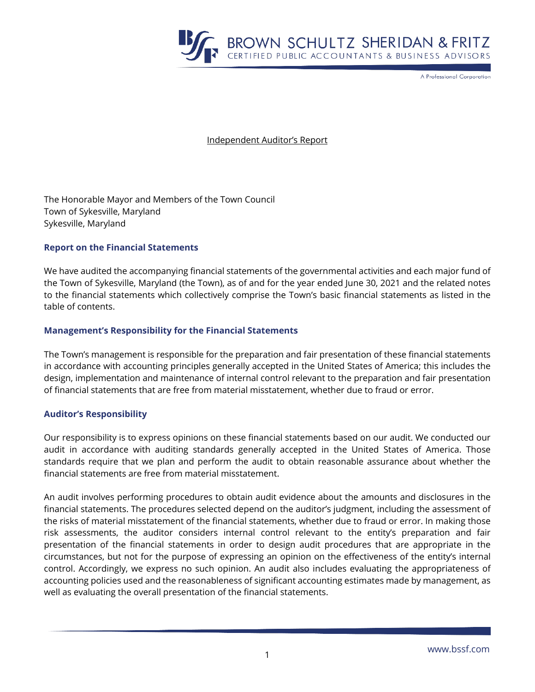

A Professional Corporation

Independent Auditor's Report

The Honorable Mayor and Members of the Town Council Town of Sykesville, Maryland Sykesville, Maryland

#### **Report on the Financial Statements**

We have audited the accompanying financial statements of the governmental activities and each major fund of the Town of Sykesville, Maryland (the Town), as of and for the year ended June 30, 2021 and the related notes to the financial statements which collectively comprise the Town's basic financial statements as listed in the table of contents.

#### **Management's Responsibility for the Financial Statements**

The Town's management is responsible for the preparation and fair presentation of these financial statements in accordance with accounting principles generally accepted in the United States of America; this includes the design, implementation and maintenance of internal control relevant to the preparation and fair presentation of financial statements that are free from material misstatement, whether due to fraud or error.

#### **Auditor's Responsibility**

Our responsibility is to express opinions on these financial statements based on our audit. We conducted our audit in accordance with auditing standards generally accepted in the United States of America. Those standards require that we plan and perform the audit to obtain reasonable assurance about whether the financial statements are free from material misstatement.

An audit involves performing procedures to obtain audit evidence about the amounts and disclosures in the financial statements. The procedures selected depend on the auditor's judgment, including the assessment of the risks of material misstatement of the financial statements, whether due to fraud or error. In making those risk assessments, the auditor considers internal control relevant to the entity's preparation and fair presentation of the financial statements in order to design audit procedures that are appropriate in the circumstances, but not for the purpose of expressing an opinion on the effectiveness of the entity's internal control. Accordingly, we express no such opinion. An audit also includes evaluating the appropriateness of accounting policies used and the reasonableness of significant accounting estimates made by management, as well as evaluating the overall presentation of the financial statements.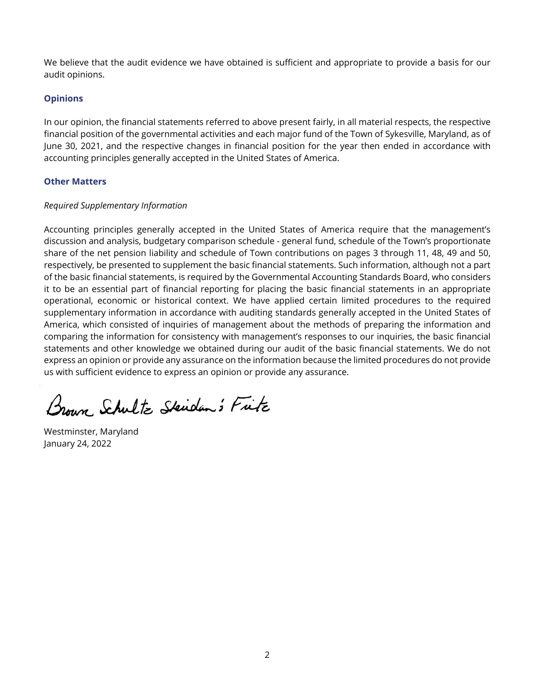We believe that the audit evidence we have obtained is sufficient and appropriate to provide a basis for our audit opinions.

#### **Opinions**

In our opinion, the financial statements referred to above present fairly, in all material respects, the respective financial position of the governmental activities and each major fund of the Town of Sykesville, Maryland, as of June 30, 2021, and the respective changes in financial position for the year then ended in accordance with accounting principles generally accepted in the United States of America.

#### **Other Matters**

#### *Required Supplementary Information*

Accounting principles generally accepted in the United States of America require that the management's discussion and analysis, budgetary comparison schedule - general fund, schedule of the Town's proportionate share of the net pension liability and schedule of Town contributions on pages 3 through 11, 48, 49 and 50, respectively, be presented to supplement the basic financial statements. Such information, although not a part of the basic financial statements, is required by the Governmental Accounting Standards Board, who considers it to be an essential part of financial reporting for placing the basic financial statements in an appropriate operational, economic or historical context. We have applied certain limited procedures to the required supplementary information in accordance with auditing standards generally accepted in the United States of America, which consisted of inquiries of management about the methods of preparing the information and comparing the information for consistency with management's responses to our inquiries, the basic financial statements and other knowledge we obtained during our audit of the basic financial statements. We do not express an opinion or provide any assurance on the information because the limited procedures do not provide us with sufficient evidence to express an opinion or provide any assurance.

Brown Schultz Skiden's Fitz

Westminster, Maryland January 24, 2022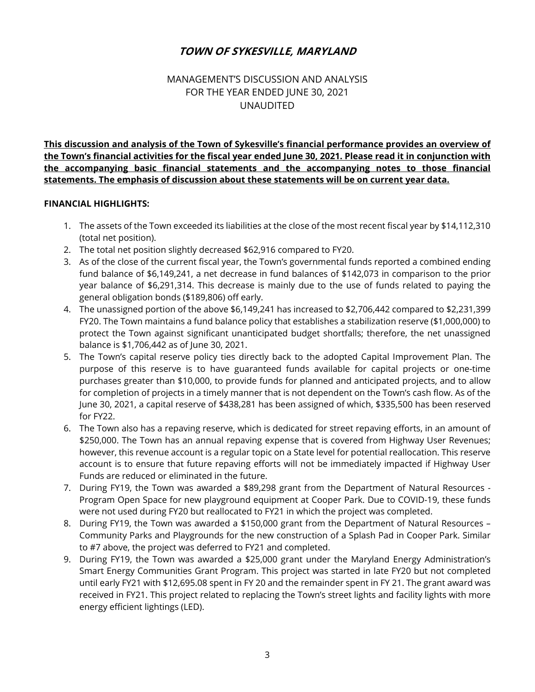# MANAGEMENT'S DISCUSSION AND ANALYSIS FOR THE YEAR ENDED JUNE 30, 2021 UNAUDITED

**This discussion and analysis of the Town of Sykesville's financial performance provides an overview of the Town's financial activities for the fiscal year ended June 30, 2021. Please read it in conjunction with the accompanying basic financial statements and the accompanying notes to those financial statements. The emphasis of discussion about these statements will be on current year data.** 

#### **FINANCIAL HIGHLIGHTS:**

- 1. The assets of the Town exceeded its liabilities at the close of the most recent fiscal year by \$14,112,310 (total net position).
- 2. The total net position slightly decreased \$62,916 compared to FY20.
- 3. As of the close of the current fiscal year, the Town's governmental funds reported a combined ending fund balance of \$6,149,241, a net decrease in fund balances of \$142,073 in comparison to the prior year balance of \$6,291,314. This decrease is mainly due to the use of funds related to paying the general obligation bonds (\$189,806) off early.
- 4. The unassigned portion of the above \$6,149,241 has increased to \$2,706,442 compared to \$2,231,399 FY20. The Town maintains a fund balance policy that establishes a stabilization reserve (\$1,000,000) to protect the Town against significant unanticipated budget shortfalls; therefore, the net unassigned balance is \$1,706,442 as of June 30, 2021.
- 5. The Town's capital reserve policy ties directly back to the adopted Capital Improvement Plan. The purpose of this reserve is to have guaranteed funds available for capital projects or one-time purchases greater than \$10,000, to provide funds for planned and anticipated projects, and to allow for completion of projects in a timely manner that is not dependent on the Town's cash flow. As of the June 30, 2021, a capital reserve of \$438,281 has been assigned of which, \$335,500 has been reserved for FY22.
- 6. The Town also has a repaving reserve, which is dedicated for street repaving efforts, in an amount of \$250,000. The Town has an annual repaving expense that is covered from Highway User Revenues; however, this revenue account is a regular topic on a State level for potential reallocation. This reserve account is to ensure that future repaving efforts will not be immediately impacted if Highway User Funds are reduced or eliminated in the future.
- 7. During FY19, the Town was awarded a \$89,298 grant from the Department of Natural Resources Program Open Space for new playground equipment at Cooper Park. Due to COVID-19, these funds were not used during FY20 but reallocated to FY21 in which the project was completed.
- 8. During FY19, the Town was awarded a \$150,000 grant from the Department of Natural Resources -Community Parks and Playgrounds for the new construction of a Splash Pad in Cooper Park. Similar to #7 above, the project was deferred to FY21 and completed.
- 9. During FY19, the Town was awarded a \$25,000 grant under the Maryland Energy Administration's Smart Energy Communities Grant Program. This project was started in late FY20 but not completed until early FY21 with \$12,695.08 spent in FY 20 and the remainder spent in FY 21. The grant award was received in FY21. This project related to replacing the Town's street lights and facility lights with more energy efficient lightings (LED).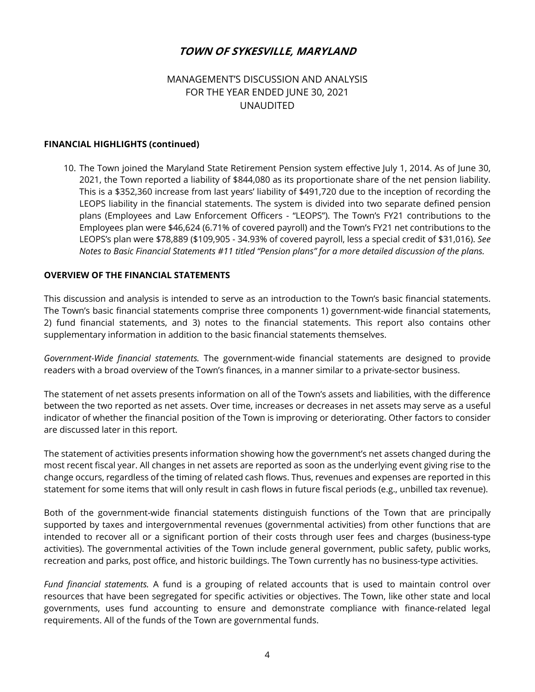## MANAGEMENT'S DISCUSSION AND ANALYSIS FOR THE YEAR ENDED JUNE 30, 2021 UNAUDITED

#### **FINANCIAL HIGHLIGHTS (continued)**

10. The Town joined the Maryland State Retirement Pension system effective July 1, 2014. As of June 30, 2021, the Town reported a liability of \$844,080 as its proportionate share of the net pension liability. This is a \$352,360 increase from last years' liability of \$491,720 due to the inception of recording the LEOPS liability in the financial statements. The system is divided into two separate defined pension plans (Employees and Law Enforcement Officers - "LEOPS"). The Town's FY21 contributions to the Employees plan were \$46,624 (6.71% of covered payroll) and the Town's FY21 net contributions to the LEOPS's plan were \$78,889 (\$109,905 - 34.93% of covered payroll, less a special credit of \$31,016). *See Notes to Basic Financial Statements #11 titled "Pension plans" for a more detailed discussion of the plans.* 

#### **OVERVIEW OF THE FINANCIAL STATEMENTS**

This discussion and analysis is intended to serve as an introduction to the Town's basic financial statements. The Town's basic financial statements comprise three components 1) government-wide financial statements, 2) fund financial statements, and 3) notes to the financial statements. This report also contains other supplementary information in addition to the basic financial statements themselves.

*Government-Wide financial statements.* The government-wide financial statements are designed to provide readers with a broad overview of the Town's finances, in a manner similar to a private-sector business.

The statement of net assets presents information on all of the Town's assets and liabilities, with the difference between the two reported as net assets. Over time, increases or decreases in net assets may serve as a useful indicator of whether the financial position of the Town is improving or deteriorating. Other factors to consider are discussed later in this report.

The statement of activities presents information showing how the government's net assets changed during the most recent fiscal year. All changes in net assets are reported as soon as the underlying event giving rise to the change occurs, regardless of the timing of related cash flows. Thus, revenues and expenses are reported in this statement for some items that will only result in cash flows in future fiscal periods (e.g., unbilled tax revenue).

Both of the government-wide financial statements distinguish functions of the Town that are principally supported by taxes and intergovernmental revenues (governmental activities) from other functions that are intended to recover all or a significant portion of their costs through user fees and charges (business-type activities). The governmental activities of the Town include general government, public safety, public works, recreation and parks, post office, and historic buildings. The Town currently has no business-type activities.

*Fund financial statements.* A fund is a grouping of related accounts that is used to maintain control over resources that have been segregated for specific activities or objectives. The Town, like other state and local governments, uses fund accounting to ensure and demonstrate compliance with finance-related legal requirements. All of the funds of the Town are governmental funds.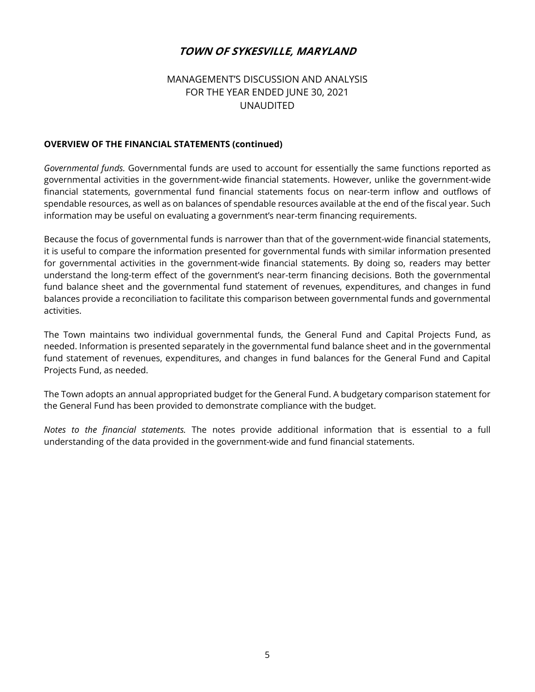## MANAGEMENT'S DISCUSSION AND ANALYSIS FOR THE YEAR ENDED JUNE 30, 2021 UNAUDITED

#### **OVERVIEW OF THE FINANCIAL STATEMENTS (continued)**

*Governmental funds.* Governmental funds are used to account for essentially the same functions reported as governmental activities in the government-wide financial statements. However, unlike the government-wide financial statements, governmental fund financial statements focus on near-term inflow and outflows of spendable resources, as well as on balances of spendable resources available at the end of the fiscal year. Such information may be useful on evaluating a government's near-term financing requirements.

Because the focus of governmental funds is narrower than that of the government-wide financial statements, it is useful to compare the information presented for governmental funds with similar information presented for governmental activities in the government-wide financial statements. By doing so, readers may better understand the long-term effect of the government's near-term financing decisions. Both the governmental fund balance sheet and the governmental fund statement of revenues, expenditures, and changes in fund balances provide a reconciliation to facilitate this comparison between governmental funds and governmental activities.

The Town maintains two individual governmental funds, the General Fund and Capital Projects Fund, as needed. Information is presented separately in the governmental fund balance sheet and in the governmental fund statement of revenues, expenditures, and changes in fund balances for the General Fund and Capital Projects Fund, as needed.

The Town adopts an annual appropriated budget for the General Fund. A budgetary comparison statement for the General Fund has been provided to demonstrate compliance with the budget.

*Notes to the financial statements.* The notes provide additional information that is essential to a full understanding of the data provided in the government-wide and fund financial statements.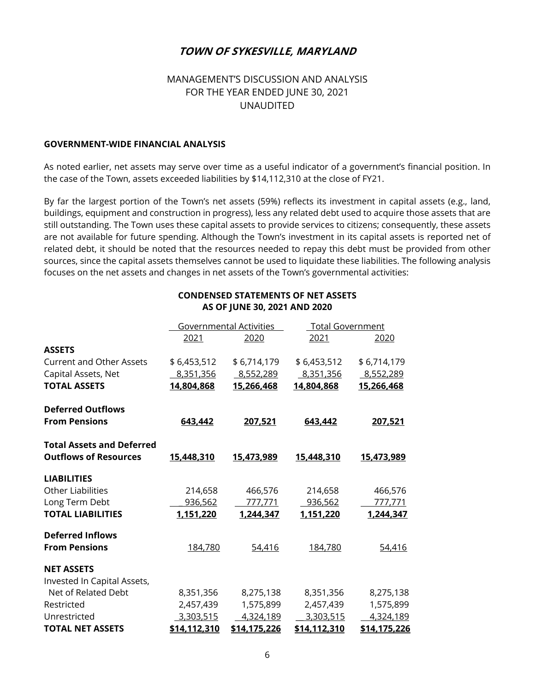## MANAGEMENT'S DISCUSSION AND ANALYSIS FOR THE YEAR ENDED JUNE 30, 2021 UNAUDITED

#### **GOVERNMENT-WIDE FINANCIAL ANALYSIS**

As noted earlier, net assets may serve over time as a useful indicator of a government's financial position. In the case of the Town, assets exceeded liabilities by \$14,112,310 at the close of FY21.

By far the largest portion of the Town's net assets (59%) reflects its investment in capital assets (e.g., land, buildings, equipment and construction in progress), less any related debt used to acquire those assets that are still outstanding. The Town uses these capital assets to provide services to citizens; consequently, these assets are not available for future spending. Although the Town's investment in its capital assets is reported net of related debt, it should be noted that the resources needed to repay this debt must be provided from other sources, since the capital assets themselves cannot be used to liquidate these liabilities. The following analysis focuses on the net assets and changes in net assets of the Town's governmental activities:

### **CONDENSED STATEMENTS OF NET ASSETS AS OF JUNE 30, 2021 AND 2020**

|                                  | <b>Governmental Activities</b> |              | <b>Total Government</b> |              |  |
|----------------------------------|--------------------------------|--------------|-------------------------|--------------|--|
|                                  | 2021                           | 2020         |                         | <u>2020</u>  |  |
| <b>ASSETS</b>                    |                                |              |                         |              |  |
| <b>Current and Other Assets</b>  | \$6,453,512                    | \$6,714,179  | \$6,453,512             | \$6,714,179  |  |
| Capital Assets, Net              | 8,351,356                      | 8,552,289    | 8,351,356               | 8,552,289    |  |
| <b>TOTAL ASSETS</b>              | 14,804,868                     | 15,266,468   | 14,804,868              | 15,266,468   |  |
| <b>Deferred Outflows</b>         |                                |              |                         |              |  |
| <b>From Pensions</b>             | 643,442                        | 207,521      | 643,442                 | 207,521      |  |
| <b>Total Assets and Deferred</b> |                                |              |                         |              |  |
| <b>Outflows of Resources</b>     | 15,448,310                     | 15,473,989   | 15,448,310              | 15,473,989   |  |
| <b>LIABILITIES</b>               |                                |              |                         |              |  |
| <b>Other Liabilities</b>         | 214,658                        | 466,576      | 214,658                 | 466,576      |  |
| Long Term Debt                   | 936,562                        | 777,771      | 936,562                 | 777,771      |  |
| <b>TOTAL LIABILITIES</b>         | 1,151,220                      | 1,244,347    | 1,151,220               | 1,244,347    |  |
| <b>Deferred Inflows</b>          |                                |              |                         |              |  |
| <b>From Pensions</b>             | 184,780                        | 54,416       | 184,780                 | 54,416       |  |
| <b>NET ASSETS</b>                |                                |              |                         |              |  |
| Invested In Capital Assets,      |                                |              |                         |              |  |
| Net of Related Debt              | 8,351,356                      | 8,275,138    | 8,351,356               | 8,275,138    |  |
| Restricted                       | 2,457,439                      | 1,575,899    | 2,457,439               | 1,575,899    |  |
| Unrestricted                     | 3,303,515                      | 4,324,189    | 3,303,515               | 4,324,189    |  |
| <b>TOTAL NET ASSETS</b>          | \$14,112,310                   | \$14,175,226 | \$14,112,310            | \$14,175,226 |  |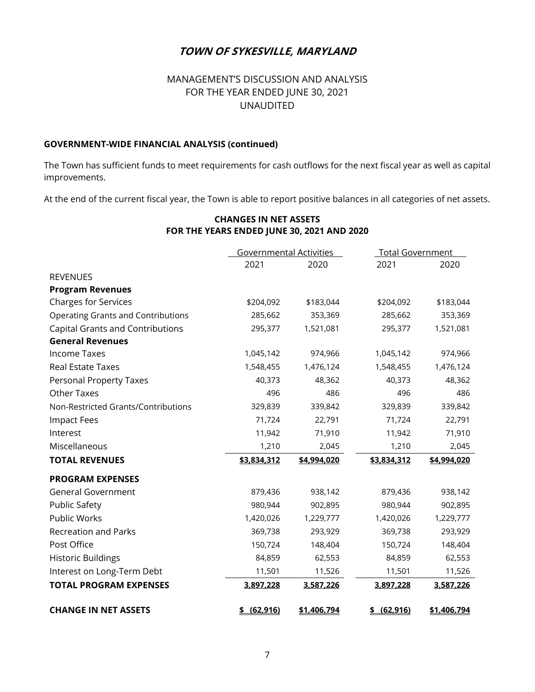# MANAGEMENT'S DISCUSSION AND ANALYSIS FOR THE YEAR ENDED JUNE 30, 2021 UNAUDITED

#### **GOVERNMENT-WIDE FINANCIAL ANALYSIS (continued)**

The Town has sufficient funds to meet requirements for cash outflows for the next fiscal year as well as capital improvements.

At the end of the current fiscal year, the Town is able to report positive balances in all categories of net assets.

|                                           | Governmental Activities |             | <b>Total Government</b> |             |  |
|-------------------------------------------|-------------------------|-------------|-------------------------|-------------|--|
|                                           | 2021                    | 2020        | 2021                    | 2020        |  |
| <b>REVENUES</b>                           |                         |             |                         |             |  |
| <b>Program Revenues</b>                   |                         |             |                         |             |  |
| <b>Charges for Services</b>               | \$204,092               | \$183,044   | \$204,092               | \$183,044   |  |
| <b>Operating Grants and Contributions</b> | 285,662                 | 353,369     | 285,662                 | 353,369     |  |
| <b>Capital Grants and Contributions</b>   | 295,377                 | 1,521,081   | 295,377                 | 1,521,081   |  |
| <b>General Revenues</b>                   |                         |             |                         |             |  |
| <b>Income Taxes</b>                       | 1,045,142               | 974,966     | 1,045,142               | 974,966     |  |
| <b>Real Estate Taxes</b>                  | 1,548,455               | 1,476,124   | 1,548,455               | 1,476,124   |  |
| <b>Personal Property Taxes</b>            | 40,373                  | 48,362      | 40,373                  | 48,362      |  |
| <b>Other Taxes</b>                        | 496                     | 486         | 496                     | 486         |  |
| Non-Restricted Grants/Contributions       | 329,839                 | 339,842     | 329,839                 | 339,842     |  |
| <b>Impact Fees</b>                        | 71,724                  | 22,791      | 71,724                  | 22,791      |  |
| Interest                                  | 11,942                  | 71,910      | 11,942                  | 71,910      |  |
| Miscellaneous                             | 1,210                   | 2,045       | 1,210                   | 2,045       |  |
| <b>TOTAL REVENUES</b>                     | \$3,834,312             | \$4,994,020 | \$3,834,312             | \$4,994,020 |  |
| <b>PROGRAM EXPENSES</b>                   |                         |             |                         |             |  |
| <b>General Government</b>                 | 879,436                 | 938,142     | 879,436                 | 938,142     |  |
| <b>Public Safety</b>                      | 980,944                 | 902,895     | 980,944                 | 902,895     |  |
| Public Works                              | 1,420,026               | 1,229,777   | 1,420,026               | 1,229,777   |  |
| <b>Recreation and Parks</b>               | 369,738                 | 293,929     | 369,738                 | 293,929     |  |
| Post Office                               | 150,724                 | 148,404     | 150,724                 | 148,404     |  |
| <b>Historic Buildings</b>                 | 84,859                  | 62,553      | 84,859                  | 62,553      |  |
| Interest on Long-Term Debt                | 11,501                  | 11,526      | 11,501                  | 11,526      |  |
| <b>TOTAL PROGRAM EXPENSES</b>             | 3,897,228               | 3,587,226   | 3,897,228               | 3,587,226   |  |
| <b>CHANGE IN NET ASSETS</b>               | \$ (62, 916)            | \$1,406,794 | \$ (62, 916)            | \$1,406,794 |  |

## **CHANGES IN NET ASSETS FOR THE YEARS ENDED JUNE 30, 2021 AND 2020**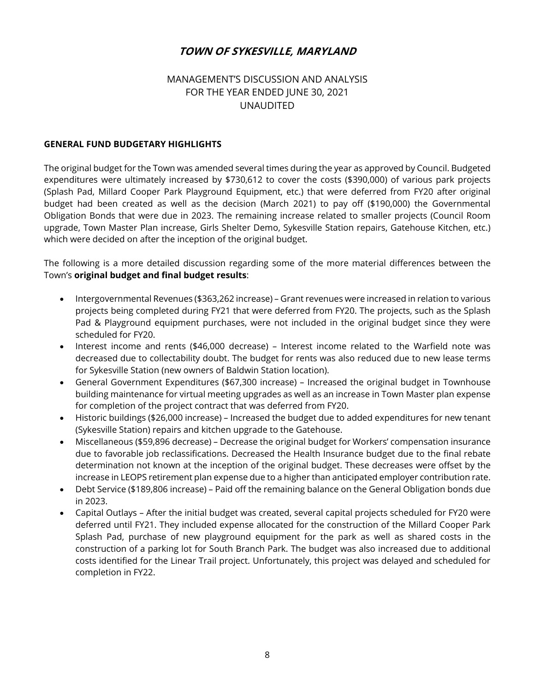## MANAGEMENT'S DISCUSSION AND ANALYSIS FOR THE YEAR ENDED JUNE 30, 2021 UNAUDITED

#### **GENERAL FUND BUDGETARY HIGHLIGHTS**

The original budget for the Town was amended several times during the year as approved by Council. Budgeted expenditures were ultimately increased by \$730,612 to cover the costs (\$390,000) of various park projects (Splash Pad, Millard Cooper Park Playground Equipment, etc.) that were deferred from FY20 after original budget had been created as well as the decision (March 2021) to pay off (\$190,000) the Governmental Obligation Bonds that were due in 2023. The remaining increase related to smaller projects (Council Room upgrade, Town Master Plan increase, Girls Shelter Demo, Sykesville Station repairs, Gatehouse Kitchen, etc.) which were decided on after the inception of the original budget.

The following is a more detailed discussion regarding some of the more material differences between the Town's **original budget and final budget results**:

- Intergovernmental Revenues (\$363,262 increase) Grant revenues were increased in relation to various projects being completed during FY21 that were deferred from FY20. The projects, such as the Splash Pad & Playground equipment purchases, were not included in the original budget since they were scheduled for FY20.
- Interest income and rents (\$46,000 decrease) Interest income related to the Warfield note was decreased due to collectability doubt. The budget for rents was also reduced due to new lease terms for Sykesville Station (new owners of Baldwin Station location).
- General Government Expenditures (\$67,300 increase) Increased the original budget in Townhouse building maintenance for virtual meeting upgrades as well as an increase in Town Master plan expense for completion of the project contract that was deferred from FY20.
- Historic buildings (\$26,000 increase) Increased the budget due to added expenditures for new tenant (Sykesville Station) repairs and kitchen upgrade to the Gatehouse.
- Miscellaneous (\$59,896 decrease) Decrease the original budget for Workers' compensation insurance due to favorable job reclassifications. Decreased the Health Insurance budget due to the final rebate determination not known at the inception of the original budget. These decreases were offset by the increase in LEOPS retirement plan expense due to a higher than anticipated employer contribution rate.
- Debt Service (\$189,806 increase) Paid off the remaining balance on the General Obligation bonds due in 2023.
- Capital Outlays After the initial budget was created, several capital projects scheduled for FY20 were deferred until FY21. They included expense allocated for the construction of the Millard Cooper Park Splash Pad, purchase of new playground equipment for the park as well as shared costs in the construction of a parking lot for South Branch Park. The budget was also increased due to additional costs identified for the Linear Trail project. Unfortunately, this project was delayed and scheduled for completion in FY22.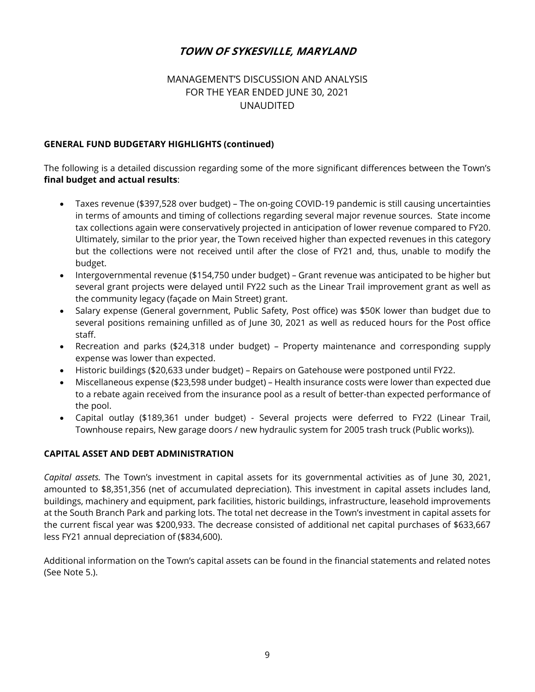# MANAGEMENT'S DISCUSSION AND ANALYSIS FOR THE YEAR ENDED JUNE 30, 2021 UNAUDITED

#### **GENERAL FUND BUDGETARY HIGHLIGHTS (continued)**

The following is a detailed discussion regarding some of the more significant differences between the Town's **final budget and actual results**:

- Taxes revenue (\$397,528 over budget) The on-going COVID-19 pandemic is still causing uncertainties in terms of amounts and timing of collections regarding several major revenue sources. State income tax collections again were conservatively projected in anticipation of lower revenue compared to FY20. Ultimately, similar to the prior year, the Town received higher than expected revenues in this category but the collections were not received until after the close of FY21 and, thus, unable to modify the budget.
- Intergovernmental revenue (\$154,750 under budget) Grant revenue was anticipated to be higher but several grant projects were delayed until FY22 such as the Linear Trail improvement grant as well as the community legacy (façade on Main Street) grant.
- Salary expense (General government, Public Safety, Post office) was \$50K lower than budget due to several positions remaining unfilled as of June 30, 2021 as well as reduced hours for the Post office staff.
- Recreation and parks (\$24,318 under budget) Property maintenance and corresponding supply expense was lower than expected.
- Historic buildings (\$20,633 under budget) Repairs on Gatehouse were postponed until FY22.
- Miscellaneous expense (\$23,598 under budget) Health insurance costs were lower than expected due to a rebate again received from the insurance pool as a result of better-than expected performance of the pool.
- Capital outlay (\$189,361 under budget) Several projects were deferred to FY22 (Linear Trail, Townhouse repairs, New garage doors / new hydraulic system for 2005 trash truck (Public works)).

#### **CAPITAL ASSET AND DEBT ADMINISTRATION**

*Capital assets.* The Town's investment in capital assets for its governmental activities as of June 30, 2021, amounted to \$8,351,356 (net of accumulated depreciation). This investment in capital assets includes land, buildings, machinery and equipment, park facilities, historic buildings, infrastructure, leasehold improvements at the South Branch Park and parking lots. The total net decrease in the Town's investment in capital assets for the current fiscal year was \$200,933. The decrease consisted of additional net capital purchases of \$633,667 less FY21 annual depreciation of (\$834,600).

Additional information on the Town's capital assets can be found in the financial statements and related notes (See Note 5.).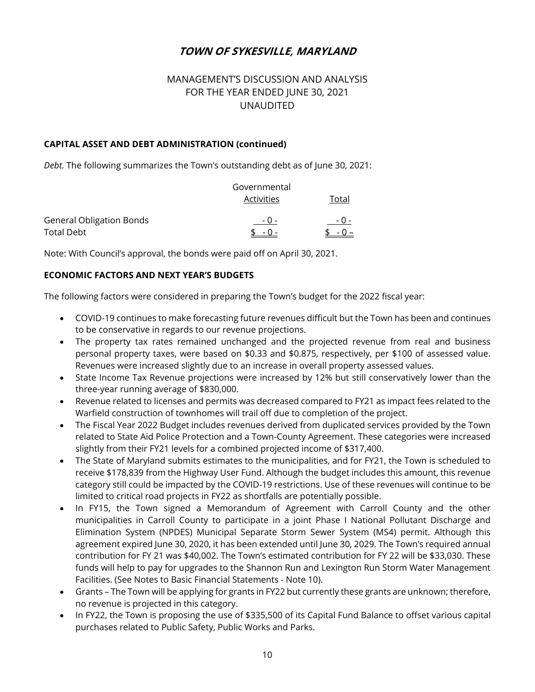# MANAGEMENT'S DISCUSSION AND ANALYSIS FOR THE YEAR ENDED JUNE 30, 2021 UNAUDITED

#### **CAPITAL ASSET AND DEBT ADMINISTRATION (continued)**

*Debt.* The following summarizes the Town's outstanding debt as of June 30, 2021:

|                                 | Governmental      |       |
|---------------------------------|-------------------|-------|
|                                 | <b>Activities</b> | Total |
| <b>General Obligation Bonds</b> | - 0 -             | $-0-$ |
| Total Debt                      | $-0-$             |       |

Note: With Council's approval, the bonds were paid off on April 30, 2021.

#### **ECONOMIC FACTORS AND NEXT YEAR'S BUDGETS**

The following factors were considered in preparing the Town's budget for the 2022 fiscal year:

- COVID-19 continues to make forecasting future revenues difficult but the Town has been and continues to be conservative in regards to our revenue projections.
- The property tax rates remained unchanged and the projected revenue from real and business personal property taxes, were based on \$0.33 and \$0.875, respectively, per \$100 of assessed value. Revenues were increased slightly due to an increase in overall property assessed values.
- State Income Tax Revenue projections were increased by 12% but still conservatively lower than the three-year running average of \$830,000.
- Revenue related to licenses and permits was decreased compared to FY21 as impact fees related to the Warfield construction of townhomes will trail off due to completion of the project.
- The Fiscal Year 2022 Budget includes revenues derived from duplicated services provided by the Town related to State Aid Police Protection and a Town-County Agreement. These categories were increased slightly from their FY21 levels for a combined projected income of \$317,400.
- The State of Maryland submits estimates to the municipalities, and for FY21, the Town is scheduled to receive \$178,839 from the Highway User Fund. Although the budget includes this amount, this revenue category still could be impacted by the COVID-19 restrictions. Use of these revenues will continue to be limited to critical road projects in FY22 as shortfalls are potentially possible.
- In FY15, the Town signed a Memorandum of Agreement with Carroll County and the other municipalities in Carroll County to participate in a joint Phase I National Pollutant Discharge and Elimination System (NPDES) Municipal Separate Storm Sewer System (MS4) permit. Although this agreement expired June 30, 2020, it has been extended until June 30, 2029. The Town's required annual contribution for FY 21 was \$40,002. The Town's estimated contribution for FY 22 will be \$33,030. These funds will help to pay for upgrades to the Shannon Run and Lexington Run Storm Water Management Facilities. (See Notes to Basic Financial Statements - Note 10).
- Grants The Town will be applying for grants in FY22 but currently these grants are unknown; therefore, no revenue is projected in this category.
- In FY22, the Town is proposing the use of \$335,500 of its Capital Fund Balance to offset various capital purchases related to Public Safety, Public Works and Parks.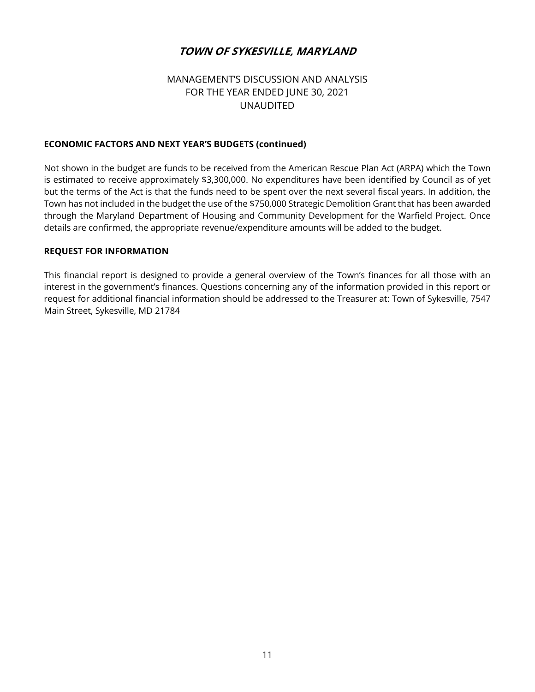## MANAGEMENT'S DISCUSSION AND ANALYSIS FOR THE YEAR ENDED JUNE 30, 2021 UNAUDITED

#### **ECONOMIC FACTORS AND NEXT YEAR'S BUDGETS (continued)**

Not shown in the budget are funds to be received from the American Rescue Plan Act (ARPA) which the Town is estimated to receive approximately \$3,300,000. No expenditures have been identified by Council as of yet but the terms of the Act is that the funds need to be spent over the next several fiscal years. In addition, the Town has not included in the budget the use of the \$750,000 Strategic Demolition Grant that has been awarded through the Maryland Department of Housing and Community Development for the Warfield Project. Once details are confirmed, the appropriate revenue/expenditure amounts will be added to the budget.

#### **REQUEST FOR INFORMATION**

This financial report is designed to provide a general overview of the Town's finances for all those with an interest in the government's finances. Questions concerning any of the information provided in this report or request for additional financial information should be addressed to the Treasurer at: Town of Sykesville, 7547 Main Street, Sykesville, MD 21784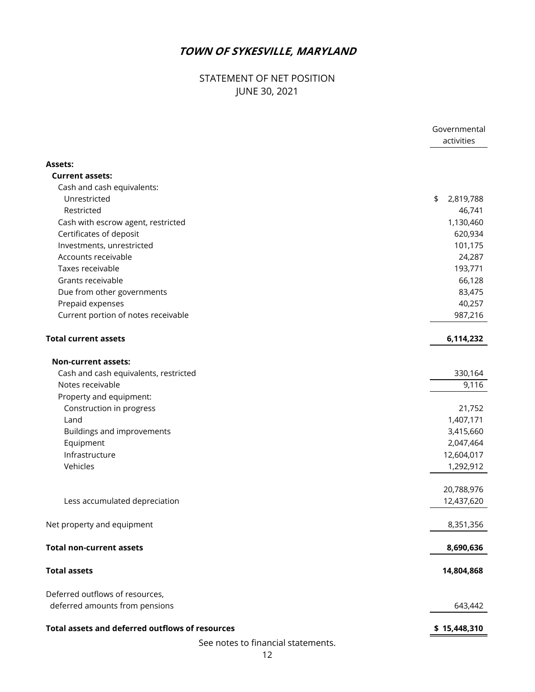# STATEMENT OF NET POSITION JUNE 30, 2021

|                                                 | Governmental<br>activities |
|-------------------------------------------------|----------------------------|
| <b>Assets:</b>                                  |                            |
| <b>Current assets:</b>                          |                            |
| Cash and cash equivalents:                      |                            |
| Unrestricted                                    | \$<br>2,819,788            |
| Restricted                                      | 46,741                     |
| Cash with escrow agent, restricted              | 1,130,460                  |
| Certificates of deposit                         | 620,934                    |
| Investments, unrestricted                       | 101,175                    |
| Accounts receivable                             | 24,287                     |
| Taxes receivable                                | 193,771                    |
| Grants receivable                               | 66,128                     |
| Due from other governments                      | 83,475                     |
| Prepaid expenses                                | 40,257                     |
| Current portion of notes receivable             | 987,216                    |
| <b>Total current assets</b>                     | 6,114,232                  |
| <b>Non-current assets:</b>                      |                            |
| Cash and cash equivalents, restricted           | 330,164                    |
| Notes receivable                                | 9,116                      |
| Property and equipment:                         |                            |
| Construction in progress                        | 21,752                     |
| Land                                            | 1,407,171                  |
| Buildings and improvements                      | 3,415,660                  |
| Equipment                                       | 2,047,464                  |
| Infrastructure                                  | 12,604,017                 |
| Vehicles                                        | 1,292,912                  |
|                                                 | 20,788,976                 |
| Less accumulated depreciation                   | 12,437,620                 |
| Net property and equipment                      | 8,351,356                  |
| <b>Total non-current assets</b>                 | 8,690,636                  |
| <b>Total assets</b>                             | 14,804,868                 |
| Deferred outflows of resources,                 |                            |
| deferred amounts from pensions                  | 643,442                    |
| Total assets and deferred outflows of resources | \$15,448,310               |
| See notes to financial statements.              |                            |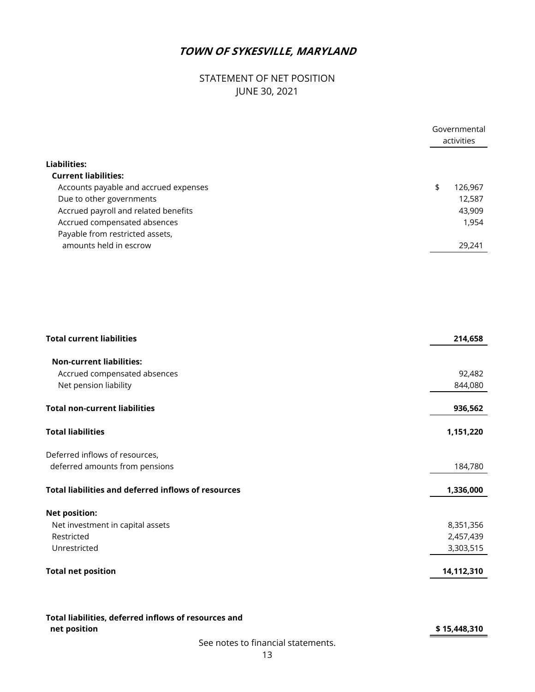# STATEMENT OF NET POSITION JUNE 30, 2021

|                                                            | Governmental<br>activities |
|------------------------------------------------------------|----------------------------|
|                                                            |                            |
| <b>Liabilities:</b>                                        |                            |
| <b>Current liabilities:</b>                                |                            |
| Accounts payable and accrued expenses                      | \$<br>126,967              |
| Due to other governments                                   | 12,587                     |
| Accrued payroll and related benefits                       | 43,909                     |
| Accrued compensated absences                               | 1,954                      |
| Payable from restricted assets,                            |                            |
| amounts held in escrow                                     | 29,241                     |
|                                                            |                            |
|                                                            |                            |
|                                                            |                            |
|                                                            |                            |
|                                                            |                            |
|                                                            |                            |
| <b>Total current liabilities</b>                           | 214,658                    |
| <b>Non-current liabilities:</b>                            |                            |
| Accrued compensated absences                               | 92,482                     |
| Net pension liability                                      | 844,080                    |
|                                                            |                            |
| <b>Total non-current liabilities</b>                       | 936,562                    |
|                                                            |                            |
| <b>Total liabilities</b>                                   | 1,151,220                  |
| Deferred inflows of resources,                             |                            |
| deferred amounts from pensions                             | 184,780                    |
|                                                            |                            |
| <b>Total liabilities and deferred inflows of resources</b> | 1,336,000                  |
| <b>Net position:</b>                                       |                            |
| Net investment in capital assets                           | 8,351,356                  |
| Restricted                                                 | 2,457,439                  |
| Unrestricted                                               | 3,303,515                  |
|                                                            |                            |
| <b>Total net position</b>                                  | 14,112,310                 |
|                                                            |                            |
|                                                            |                            |
| Total liabilities, deferred inflows of resources and       |                            |
| net position                                               | \$15,448,310               |
|                                                            |                            |

See notes to financial statements.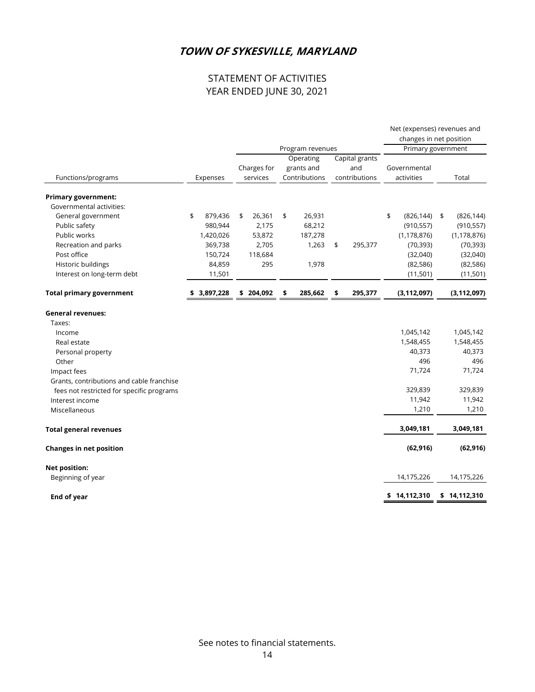# STATEMENT OF ACTIVITIES YEAR ENDED JUNE 30, 2021

|                                           |               |    |                         |    |                                          |                                        | Net (expenses) revenues and |                  |
|-------------------------------------------|---------------|----|-------------------------|----|------------------------------------------|----------------------------------------|-----------------------------|------------------|
|                                           |               |    |                         |    | changes in net position                  |                                        |                             |                  |
|                                           |               |    |                         |    | Program revenues                         |                                        | Primary government          |                  |
| Functions/programs                        | Expenses      |    | Charges for<br>services |    | Operating<br>grants and<br>Contributions | Capital grants<br>and<br>contributions | Governmental<br>activities  | Total            |
| <b>Primary government:</b>                |               |    |                         |    |                                          |                                        |                             |                  |
| Governmental activities:                  |               |    |                         |    |                                          |                                        |                             |                  |
| General government                        | \$<br>879,436 | \$ | 26,361                  | \$ | 26,931                                   |                                        | \$<br>(826, 144)            | \$<br>(826, 144) |
| Public safety                             | 980,944       |    | 2,175                   |    | 68,212                                   |                                        | (910, 557)                  | (910, 557)       |
| Public works                              | 1,420,026     |    | 53,872                  |    | 187,278                                  |                                        | (1, 178, 876)               | (1, 178, 876)    |
| Recreation and parks                      | 369,738       |    | 2,705                   |    | 1,263                                    | \$<br>295,377                          | (70, 393)                   | (70, 393)        |
| Post office                               | 150,724       |    | 118,684                 |    |                                          |                                        | (32,040)                    | (32,040)         |
| Historic buildings                        | 84,859        |    | 295                     |    | 1,978                                    |                                        | (82, 586)                   | (82, 586)        |
| Interest on long-term debt                | 11,501        |    |                         |    |                                          |                                        | (11, 501)                   | (11, 501)        |
|                                           |               |    |                         |    |                                          |                                        |                             |                  |
| <b>Total primary government</b>           | \$3,897,228   |    | \$ 204,092              | \$ | 285,662                                  | \$<br>295,377                          | (3, 112, 097)               | (3, 112, 097)    |
| <b>General revenues:</b>                  |               |    |                         |    |                                          |                                        |                             |                  |
| Taxes:                                    |               |    |                         |    |                                          |                                        |                             |                  |
| Income                                    |               |    |                         |    |                                          |                                        | 1,045,142                   | 1,045,142        |
| Real estate                               |               |    |                         |    |                                          |                                        | 1,548,455                   | 1,548,455        |
| Personal property                         |               |    |                         |    |                                          |                                        | 40,373                      | 40,373           |
| Other                                     |               |    |                         |    |                                          |                                        | 496                         | 496              |
| Impact fees                               |               |    |                         |    |                                          |                                        | 71,724                      | 71,724           |
| Grants, contributions and cable franchise |               |    |                         |    |                                          |                                        |                             |                  |
| fees not restricted for specific programs |               |    |                         |    |                                          |                                        | 329,839                     | 329,839          |
| Interest income                           |               |    |                         |    |                                          |                                        | 11,942                      | 11,942           |
| Miscellaneous                             |               |    |                         |    |                                          |                                        | 1,210                       | 1,210            |
| <b>Total general revenues</b>             |               |    |                         |    |                                          |                                        | 3,049,181                   | 3,049,181        |
|                                           |               |    |                         |    |                                          |                                        |                             |                  |
| <b>Changes in net position</b>            |               |    |                         |    |                                          |                                        | (62, 916)                   | (62, 916)        |
| <b>Net position:</b>                      |               |    |                         |    |                                          |                                        |                             |                  |
| Beginning of year                         |               |    |                         |    |                                          |                                        | 14,175,226                  | 14,175,226       |
| End of year                               |               |    |                         |    |                                          |                                        | 14,112,310<br>\$            | \$14,112,310     |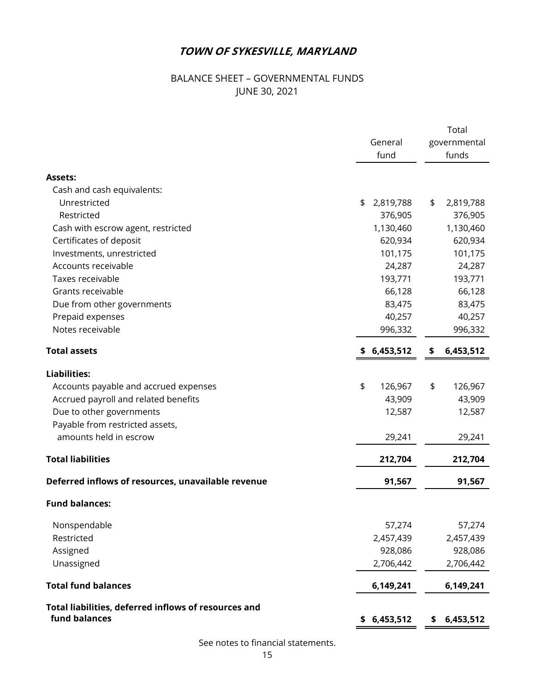# BALANCE SHEET – GOVERNMENTAL FUNDS JUNE 30, 2021

|                                                      | Total<br>General<br>governmental |                 |
|------------------------------------------------------|----------------------------------|-----------------|
|                                                      |                                  |                 |
|                                                      | fund                             | funds           |
| <b>Assets:</b>                                       |                                  |                 |
| Cash and cash equivalents:                           |                                  |                 |
| Unrestricted                                         | \$<br>2,819,788                  | 2,819,788<br>\$ |
| Restricted                                           | 376,905                          | 376,905         |
| Cash with escrow agent, restricted                   | 1,130,460                        | 1,130,460       |
| Certificates of deposit                              | 620,934                          | 620,934         |
| Investments, unrestricted                            | 101,175                          | 101,175         |
| Accounts receivable                                  | 24,287                           | 24,287          |
| Taxes receivable                                     | 193,771                          | 193,771         |
| Grants receivable                                    | 66,128                           | 66,128          |
| Due from other governments                           | 83,475                           | 83,475          |
| Prepaid expenses                                     | 40,257                           | 40,257          |
| Notes receivable                                     | 996,332                          | 996,332         |
| <b>Total assets</b>                                  | \$6,453,512                      | 6,453,512<br>\$ |
| <b>Liabilities:</b>                                  |                                  |                 |
| Accounts payable and accrued expenses                | \$<br>126,967                    | \$<br>126,967   |
| Accrued payroll and related benefits                 | 43,909                           | 43,909          |
| Due to other governments                             | 12,587                           | 12,587          |
| Payable from restricted assets,                      |                                  |                 |
| amounts held in escrow                               | 29,241                           | 29,241          |
| <b>Total liabilities</b>                             | 212,704                          | 212,704         |
| Deferred inflows of resources, unavailable revenue   | 91,567                           | 91,567          |
| <b>Fund balances:</b>                                |                                  |                 |
| Nonspendable                                         | 57,274                           | 57,274          |
| Restricted                                           | 2,457,439                        | 2,457,439       |
| Assigned                                             | 928,086                          | 928,086         |
| Unassigned                                           | 2,706,442                        | 2,706,442       |
| <b>Total fund balances</b>                           | 6,149,241                        | 6,149,241       |
| Total liabilities, deferred inflows of resources and |                                  |                 |
| fund balances                                        | \$6,453,512                      | 6,453,512<br>\$ |

See notes to financial statements.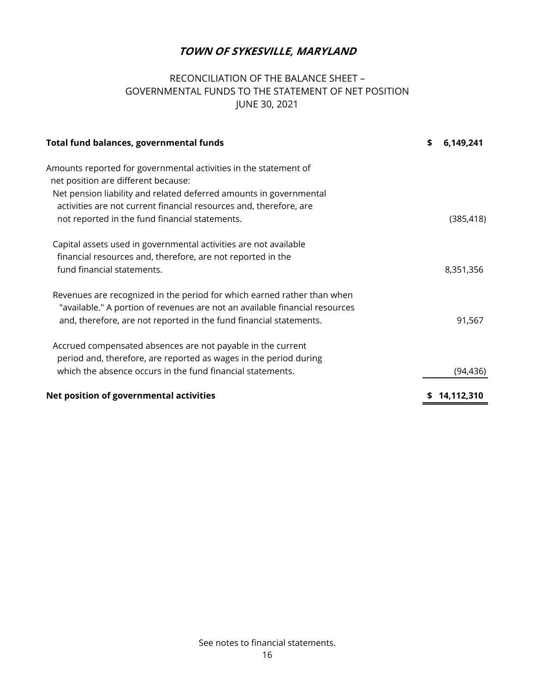# RECONCILIATION OF THE BALANCE SHEET – GOVERNMENTAL FUNDS TO THE STATEMENT OF NET POSITION JUNE 30, 2021

| <b>Total fund balances, governmental funds</b>                              | \$<br>6,149,241 |
|-----------------------------------------------------------------------------|-----------------|
| Amounts reported for governmental activities in the statement of            |                 |
| net position are different because:                                         |                 |
| Net pension liability and related deferred amounts in governmental          |                 |
| activities are not current financial resources and, therefore, are          |                 |
| not reported in the fund financial statements.                              | (385, 418)      |
| Capital assets used in governmental activities are not available            |                 |
| financial resources and, therefore, are not reported in the                 |                 |
| fund financial statements.                                                  | 8,351,356       |
| Revenues are recognized in the period for which earned rather than when     |                 |
| "available." A portion of revenues are not an available financial resources |                 |
| and, therefore, are not reported in the fund financial statements.          | 91,567          |
| Accrued compensated absences are not payable in the current                 |                 |
| period and, therefore, are reported as wages in the period during           |                 |
| which the absence occurs in the fund financial statements.                  | (94, 436)       |
| Net position of governmental activities                                     | 14,112,310      |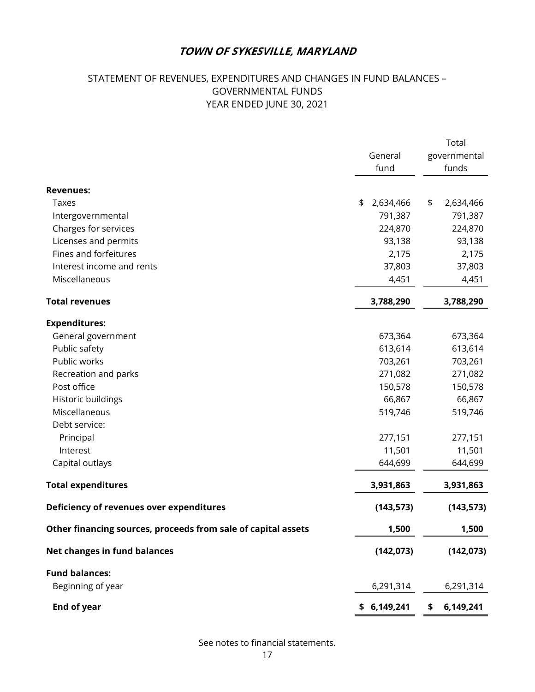# STATEMENT OF REVENUES, EXPENDITURES AND CHANGES IN FUND BALANCES – GOVERNMENTAL FUNDS YEAR ENDED JUNE 30, 2021

|                                                               | Total                   |                 |  |
|---------------------------------------------------------------|-------------------------|-----------------|--|
|                                                               | General<br>governmental |                 |  |
|                                                               | fund                    | funds           |  |
| <b>Revenues:</b>                                              |                         |                 |  |
| Taxes                                                         | \$<br>2,634,466         | 2,634,466<br>\$ |  |
| Intergovernmental                                             | 791,387                 | 791,387         |  |
| Charges for services                                          | 224,870                 | 224,870         |  |
| Licenses and permits                                          | 93,138                  | 93,138          |  |
| Fines and forfeitures                                         | 2,175                   | 2,175           |  |
| Interest income and rents                                     | 37,803                  | 37,803          |  |
| Miscellaneous                                                 | 4,451                   | 4,451           |  |
| <b>Total revenues</b>                                         | 3,788,290               | 3,788,290       |  |
| <b>Expenditures:</b>                                          |                         |                 |  |
| General government                                            | 673,364                 | 673,364         |  |
| Public safety                                                 | 613,614                 | 613,614         |  |
| Public works                                                  | 703,261                 | 703,261         |  |
| Recreation and parks                                          | 271,082                 | 271,082         |  |
| Post office                                                   | 150,578                 | 150,578         |  |
| Historic buildings                                            | 66,867                  | 66,867          |  |
| Miscellaneous                                                 | 519,746                 | 519,746         |  |
| Debt service:                                                 |                         |                 |  |
| Principal                                                     | 277,151                 | 277,151         |  |
| Interest                                                      | 11,501                  | 11,501          |  |
| Capital outlays                                               | 644,699                 | 644,699         |  |
| <b>Total expenditures</b>                                     | 3,931,863               | 3,931,863       |  |
| Deficiency of revenues over expenditures                      | (143, 573)              | (143, 573)      |  |
| Other financing sources, proceeds from sale of capital assets | 1,500                   | 1,500           |  |
| Net changes in fund balances                                  | (142, 073)              | (142, 073)      |  |
| <b>Fund balances:</b>                                         |                         |                 |  |
| Beginning of year                                             | 6,291,314               | 6,291,314       |  |
| <b>End of year</b>                                            | \$6,149,241             | 6,149,241<br>\$ |  |

See notes to financial statements.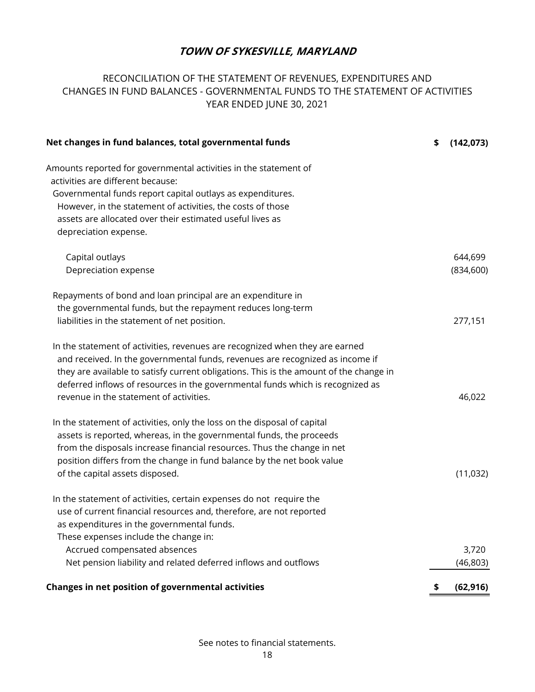# RECONCILIATION OF THE STATEMENT OF REVENUES, EXPENDITURES AND CHANGES IN FUND BALANCES - GOVERNMENTAL FUNDS TO THE STATEMENT OF ACTIVITIES YEAR ENDED JUNE 30, 2021

| Net changes in fund balances, total governmental funds                                 | \$<br>(142, 073) |
|----------------------------------------------------------------------------------------|------------------|
| Amounts reported for governmental activities in the statement of                       |                  |
| activities are different because:                                                      |                  |
| Governmental funds report capital outlays as expenditures.                             |                  |
| However, in the statement of activities, the costs of those                            |                  |
| assets are allocated over their estimated useful lives as                              |                  |
| depreciation expense.                                                                  |                  |
| Capital outlays                                                                        | 644,699          |
| Depreciation expense                                                                   | (834,600)        |
| Repayments of bond and loan principal are an expenditure in                            |                  |
| the governmental funds, but the repayment reduces long-term                            |                  |
| liabilities in the statement of net position.                                          | 277,151          |
| In the statement of activities, revenues are recognized when they are earned           |                  |
| and received. In the governmental funds, revenues are recognized as income if          |                  |
| they are available to satisfy current obligations. This is the amount of the change in |                  |
| deferred inflows of resources in the governmental funds which is recognized as         |                  |
| revenue in the statement of activities.                                                | 46,022           |
| In the statement of activities, only the loss on the disposal of capital               |                  |
| assets is reported, whereas, in the governmental funds, the proceeds                   |                  |
| from the disposals increase financial resources. Thus the change in net                |                  |
| position differs from the change in fund balance by the net book value                 |                  |
| of the capital assets disposed.                                                        | (11, 032)        |
| In the statement of activities, certain expenses do not require the                    |                  |
| use of current financial resources and, therefore, are not reported                    |                  |
| as expenditures in the governmental funds.                                             |                  |
| These expenses include the change in:                                                  |                  |
| Accrued compensated absences                                                           | 3,720            |
| Net pension liability and related deferred inflows and outflows                        | (46, 803)        |
| <b>Changes in net position of governmental activities</b>                              | \$<br>(62, 916)  |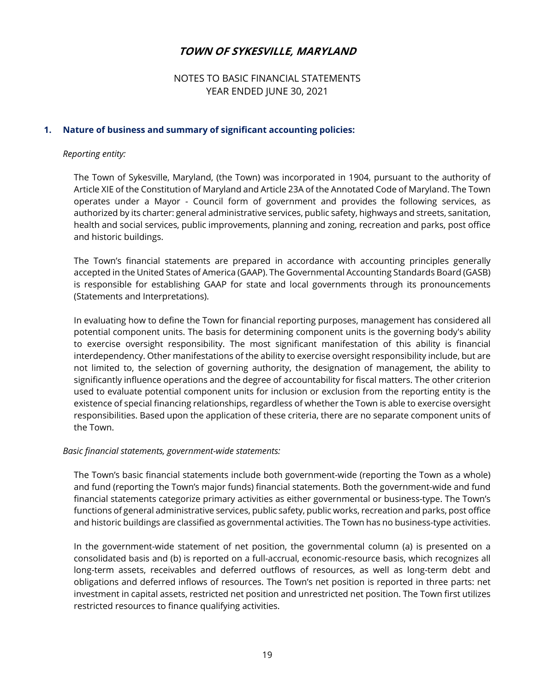## NOTES TO BASIC FINANCIAL STATEMENTS YEAR ENDED JUNE 30, 2021

#### **1. Nature of business and summary of significant accounting policies:**

#### *Reporting entity:*

The Town of Sykesville, Maryland, (the Town) was incorporated in 1904, pursuant to the authority of Article XIE of the Constitution of Maryland and Article 23A of the Annotated Code of Maryland. The Town operates under a Mayor - Council form of government and provides the following services, as authorized by its charter: general administrative services, public safety, highways and streets, sanitation, health and social services, public improvements, planning and zoning, recreation and parks, post office and historic buildings.

The Town's financial statements are prepared in accordance with accounting principles generally accepted in the United States of America (GAAP). The Governmental Accounting Standards Board (GASB) is responsible for establishing GAAP for state and local governments through its pronouncements (Statements and Interpretations).

In evaluating how to define the Town for financial reporting purposes, management has considered all potential component units. The basis for determining component units is the governing body's ability to exercise oversight responsibility. The most significant manifestation of this ability is financial interdependency. Other manifestations of the ability to exercise oversight responsibility include, but are not limited to, the selection of governing authority, the designation of management, the ability to significantly influence operations and the degree of accountability for fiscal matters. The other criterion used to evaluate potential component units for inclusion or exclusion from the reporting entity is the existence of special financing relationships, regardless of whether the Town is able to exercise oversight responsibilities. Based upon the application of these criteria, there are no separate component units of the Town.

#### *Basic financial statements, government-wide statements:*

The Town's basic financial statements include both government-wide (reporting the Town as a whole) and fund (reporting the Town's major funds) financial statements. Both the government-wide and fund financial statements categorize primary activities as either governmental or business-type. The Town's functions of general administrative services, public safety, public works, recreation and parks, post office and historic buildings are classified as governmental activities. The Town has no business-type activities.

In the government-wide statement of net position, the governmental column (a) is presented on a consolidated basis and (b) is reported on a full-accrual, economic-resource basis, which recognizes all long-term assets, receivables and deferred outflows of resources, as well as long-term debt and obligations and deferred inflows of resources. The Town's net position is reported in three parts: net investment in capital assets, restricted net position and unrestricted net position. The Town first utilizes restricted resources to finance qualifying activities.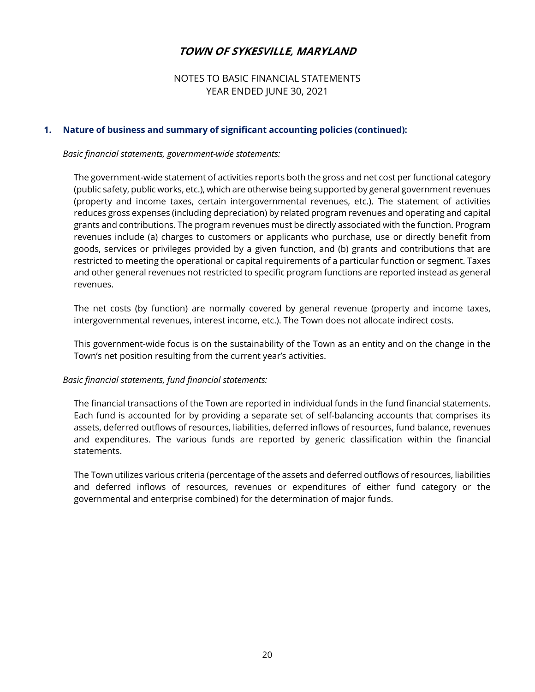## NOTES TO BASIC FINANCIAL STATEMENTS YEAR ENDED JUNE 30, 2021

#### **1. Nature of business and summary of significant accounting policies (continued):**

 *Basic financial statements, government-wide statements:* 

The government-wide statement of activities reports both the gross and net cost per functional category (public safety, public works, etc.), which are otherwise being supported by general government revenues (property and income taxes, certain intergovernmental revenues, etc.). The statement of activities reduces gross expenses (including depreciation) by related program revenues and operating and capital grants and contributions. The program revenues must be directly associated with the function. Program revenues include (a) charges to customers or applicants who purchase, use or directly benefit from goods, services or privileges provided by a given function, and (b) grants and contributions that are restricted to meeting the operational or capital requirements of a particular function or segment. Taxes and other general revenues not restricted to specific program functions are reported instead as general revenues.

The net costs (by function) are normally covered by general revenue (property and income taxes, intergovernmental revenues, interest income, etc.). The Town does not allocate indirect costs.

This government-wide focus is on the sustainability of the Town as an entity and on the change in the Town's net position resulting from the current year's activities.

#### *Basic financial statements, fund financial statements:*

The financial transactions of the Town are reported in individual funds in the fund financial statements. Each fund is accounted for by providing a separate set of self-balancing accounts that comprises its assets, deferred outflows of resources, liabilities, deferred inflows of resources, fund balance, revenues and expenditures. The various funds are reported by generic classification within the financial statements.

The Town utilizes various criteria (percentage of the assets and deferred outflows of resources, liabilities and deferred inflows of resources, revenues or expenditures of either fund category or the governmental and enterprise combined) for the determination of major funds.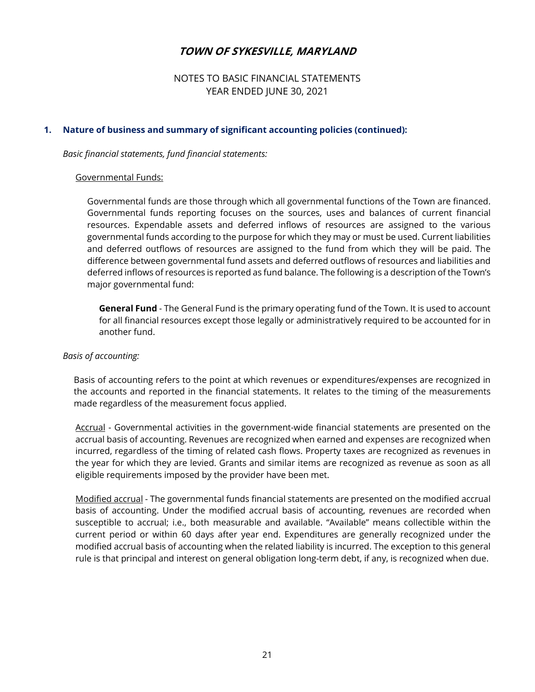## NOTES TO BASIC FINANCIAL STATEMENTS YEAR ENDED JUNE 30, 2021

#### **1. Nature of business and summary of significant accounting policies (continued):**

 *Basic financial statements, fund financial statements:* 

#### Governmental Funds:

Governmental funds are those through which all governmental functions of the Town are financed. Governmental funds reporting focuses on the sources, uses and balances of current financial resources. Expendable assets and deferred inflows of resources are assigned to the various governmental funds according to the purpose for which they may or must be used. Current liabilities and deferred outflows of resources are assigned to the fund from which they will be paid. The difference between governmental fund assets and deferred outflows of resources and liabilities and deferred inflows of resources is reported as fund balance. The following is a description of the Town's major governmental fund:

**General Fund** - The General Fund is the primary operating fund of the Town. It is used to account for all financial resources except those legally or administratively required to be accounted for in another fund.

#### *Basis of accounting:*

Basis of accounting refers to the point at which revenues or expenditures/expenses are recognized in the accounts and reported in the financial statements. It relates to the timing of the measurements made regardless of the measurement focus applied.

Accrual - Governmental activities in the government-wide financial statements are presented on the accrual basis of accounting. Revenues are recognized when earned and expenses are recognized when incurred, regardless of the timing of related cash flows. Property taxes are recognized as revenues in the year for which they are levied. Grants and similar items are recognized as revenue as soon as all eligible requirements imposed by the provider have been met.

Modified accrual - The governmental funds financial statements are presented on the modified accrual basis of accounting. Under the modified accrual basis of accounting, revenues are recorded when susceptible to accrual; i.e., both measurable and available. "Available" means collectible within the current period or within 60 days after year end. Expenditures are generally recognized under the modified accrual basis of accounting when the related liability is incurred. The exception to this general rule is that principal and interest on general obligation long-term debt, if any, is recognized when due.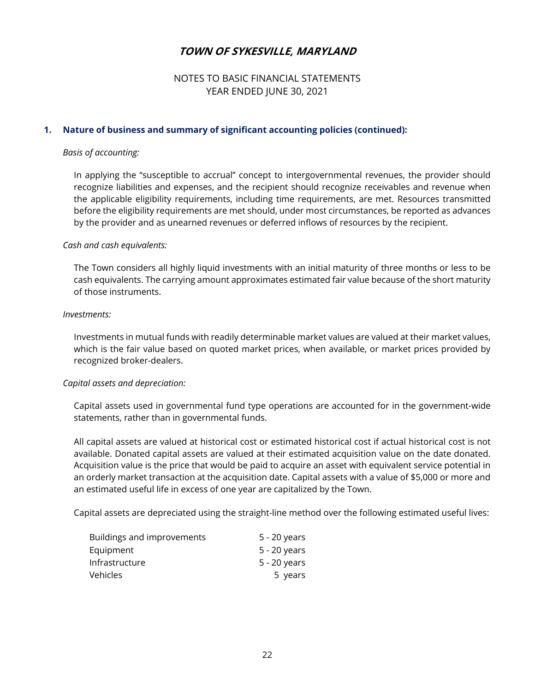## NOTES TO BASIC FINANCIAL STATEMENTS YEAR ENDED JUNE 30, 2021

#### **1. Nature of business and summary of significant accounting policies (continued):**

#### *Basis of accounting:*

In applying the "susceptible to accrual" concept to intergovernmental revenues, the provider should recognize liabilities and expenses, and the recipient should recognize receivables and revenue when the applicable eligibility requirements, including time requirements, are met. Resources transmitted before the eligibility requirements are met should, under most circumstances, be reported as advances by the provider and as unearned revenues or deferred inflows of resources by the recipient.

#### *Cash and cash equivalents:*

The Town considers all highly liquid investments with an initial maturity of three months or less to be cash equivalents. The carrying amount approximates estimated fair value because of the short maturity of those instruments.

#### *Investments:*

Investments in mutual funds with readily determinable market values are valued at their market values, which is the fair value based on quoted market prices, when available, or market prices provided by recognized broker-dealers.

#### *Capital assets and depreciation:*

Capital assets used in governmental fund type operations are accounted for in the government-wide statements, rather than in governmental funds.

All capital assets are valued at historical cost or estimated historical cost if actual historical cost is not available. Donated capital assets are valued at their estimated acquisition value on the date donated. Acquisition value is the price that would be paid to acquire an asset with equivalent service potential in an orderly market transaction at the acquisition date. Capital assets with a value of \$5,000 or more and an estimated useful life in excess of one year are capitalized by the Town.

Capital assets are depreciated using the straight-line method over the following estimated useful lives:

| <b>Buildings and improvements</b> | 5 - 20 years |
|-----------------------------------|--------------|
| Equipment                         | 5 - 20 years |
| Infrastructure                    | 5 - 20 years |
| Vehicles                          | 5 years      |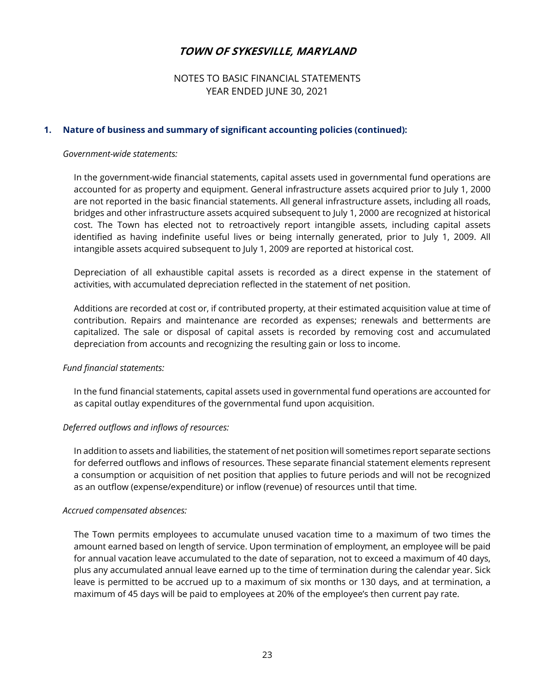## NOTES TO BASIC FINANCIAL STATEMENTS YEAR ENDED JUNE 30, 2021

#### **1. Nature of business and summary of significant accounting policies (continued):**

#### *Government-wide statements:*

In the government-wide financial statements, capital assets used in governmental fund operations are accounted for as property and equipment. General infrastructure assets acquired prior to July 1, 2000 are not reported in the basic financial statements. All general infrastructure assets, including all roads, bridges and other infrastructure assets acquired subsequent to July 1, 2000 are recognized at historical cost. The Town has elected not to retroactively report intangible assets, including capital assets identified as having indefinite useful lives or being internally generated, prior to July 1, 2009. All intangible assets acquired subsequent to July 1, 2009 are reported at historical cost.

Depreciation of all exhaustible capital assets is recorded as a direct expense in the statement of activities, with accumulated depreciation reflected in the statement of net position.

Additions are recorded at cost or, if contributed property, at their estimated acquisition value at time of contribution. Repairs and maintenance are recorded as expenses; renewals and betterments are capitalized. The sale or disposal of capital assets is recorded by removing cost and accumulated depreciation from accounts and recognizing the resulting gain or loss to income.

#### *Fund financial statements:*

In the fund financial statements, capital assets used in governmental fund operations are accounted for as capital outlay expenditures of the governmental fund upon acquisition.

#### *Deferred outflows and inflows of resources:*

In addition to assets and liabilities, the statement of net position will sometimes report separate sections for deferred outflows and inflows of resources. These separate financial statement elements represent a consumption or acquisition of net position that applies to future periods and will not be recognized as an outflow (expense/expenditure) or inflow (revenue) of resources until that time.

#### *Accrued compensated absences:*

The Town permits employees to accumulate unused vacation time to a maximum of two times the amount earned based on length of service. Upon termination of employment, an employee will be paid for annual vacation leave accumulated to the date of separation, not to exceed a maximum of 40 days, plus any accumulated annual leave earned up to the time of termination during the calendar year. Sick leave is permitted to be accrued up to a maximum of six months or 130 days, and at termination, a maximum of 45 days will be paid to employees at 20% of the employee's then current pay rate.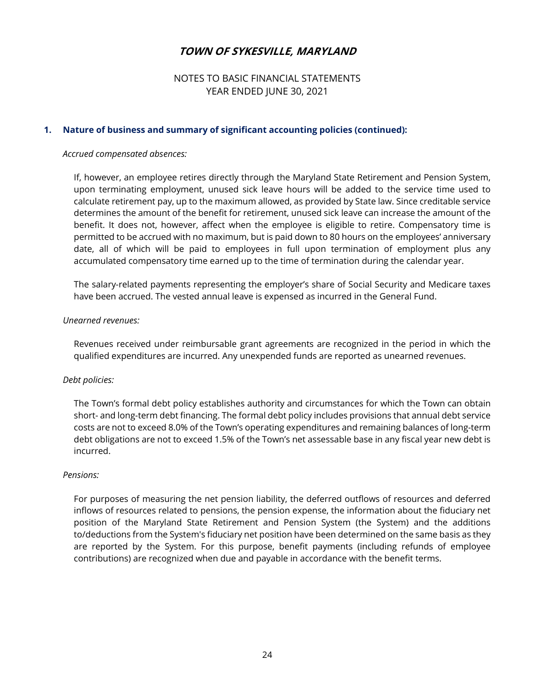## NOTES TO BASIC FINANCIAL STATEMENTS YEAR ENDED JUNE 30, 2021

#### **1. Nature of business and summary of significant accounting policies (continued):**

#### *Accrued compensated absences:*

If, however, an employee retires directly through the Maryland State Retirement and Pension System, upon terminating employment, unused sick leave hours will be added to the service time used to calculate retirement pay, up to the maximum allowed, as provided by State law. Since creditable service determines the amount of the benefit for retirement, unused sick leave can increase the amount of the benefit. It does not, however, affect when the employee is eligible to retire. Compensatory time is permitted to be accrued with no maximum, but is paid down to 80 hours on the employees' anniversary date, all of which will be paid to employees in full upon termination of employment plus any accumulated compensatory time earned up to the time of termination during the calendar year.

The salary-related payments representing the employer's share of Social Security and Medicare taxes have been accrued. The vested annual leave is expensed as incurred in the General Fund.

#### *Unearned revenues:*

Revenues received under reimbursable grant agreements are recognized in the period in which the qualified expenditures are incurred. Any unexpended funds are reported as unearned revenues.

#### *Debt policies:*

The Town's formal debt policy establishes authority and circumstances for which the Town can obtain short- and long-term debt financing. The formal debt policy includes provisions that annual debt service costs are not to exceed 8.0% of the Town's operating expenditures and remaining balances of long-term debt obligations are not to exceed 1.5% of the Town's net assessable base in any fiscal year new debt is incurred.

#### *Pensions:*

For purposes of measuring the net pension liability, the deferred outflows of resources and deferred inflows of resources related to pensions, the pension expense, the information about the fiduciary net position of the Maryland State Retirement and Pension System (the System) and the additions to/deductions from the System's fiduciary net position have been determined on the same basis as they are reported by the System. For this purpose, benefit payments (including refunds of employee contributions) are recognized when due and payable in accordance with the benefit terms.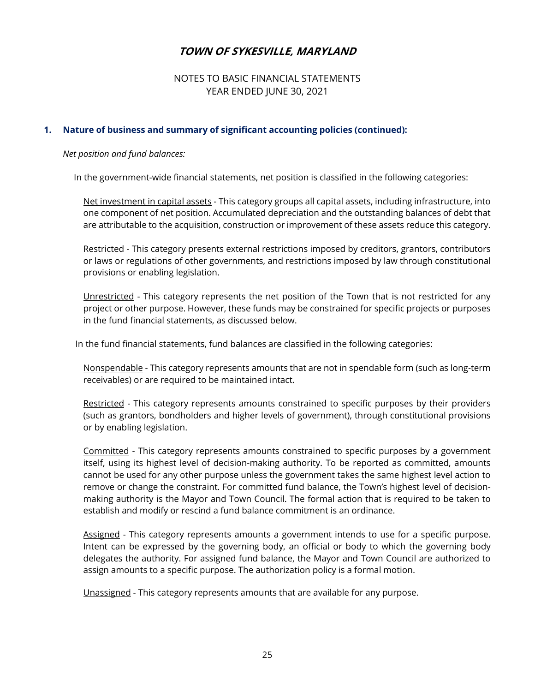## NOTES TO BASIC FINANCIAL STATEMENTS YEAR ENDED JUNE 30, 2021

#### **1. Nature of business and summary of significant accounting policies (continued):**

#### *Net position and fund balances:*

In the government-wide financial statements, net position is classified in the following categories:

Net investment in capital assets - This category groups all capital assets, including infrastructure, into one component of net position. Accumulated depreciation and the outstanding balances of debt that are attributable to the acquisition, construction or improvement of these assets reduce this category.

Restricted - This category presents external restrictions imposed by creditors, grantors, contributors or laws or regulations of other governments, and restrictions imposed by law through constitutional provisions or enabling legislation.

Unrestricted - This category represents the net position of the Town that is not restricted for any project or other purpose. However, these funds may be constrained for specific projects or purposes in the fund financial statements, as discussed below.

In the fund financial statements, fund balances are classified in the following categories:

Nonspendable - This category represents amounts that are not in spendable form (such as long-term receivables) or are required to be maintained intact.

Restricted - This category represents amounts constrained to specific purposes by their providers (such as grantors, bondholders and higher levels of government), through constitutional provisions or by enabling legislation.

Committed - This category represents amounts constrained to specific purposes by a government itself, using its highest level of decision-making authority. To be reported as committed, amounts cannot be used for any other purpose unless the government takes the same highest level action to remove or change the constraint. For committed fund balance, the Town's highest level of decisionmaking authority is the Mayor and Town Council. The formal action that is required to be taken to establish and modify or rescind a fund balance commitment is an ordinance.

Assigned - This category represents amounts a government intends to use for a specific purpose. Intent can be expressed by the governing body, an official or body to which the governing body delegates the authority. For assigned fund balance, the Mayor and Town Council are authorized to assign amounts to a specific purpose. The authorization policy is a formal motion.

Unassigned - This category represents amounts that are available for any purpose.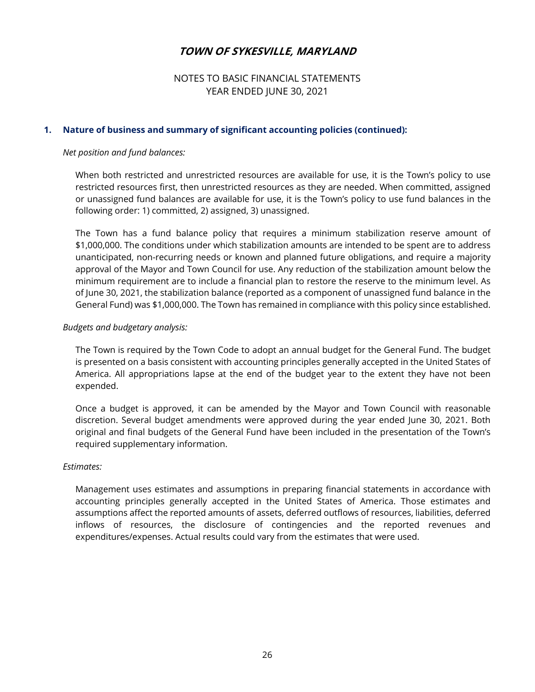## NOTES TO BASIC FINANCIAL STATEMENTS YEAR ENDED JUNE 30, 2021

#### **1. Nature of business and summary of significant accounting policies (continued):**

#### *Net position and fund balances:*

When both restricted and unrestricted resources are available for use, it is the Town's policy to use restricted resources first, then unrestricted resources as they are needed. When committed, assigned or unassigned fund balances are available for use, it is the Town's policy to use fund balances in the following order: 1) committed, 2) assigned, 3) unassigned.

The Town has a fund balance policy that requires a minimum stabilization reserve amount of \$1,000,000. The conditions under which stabilization amounts are intended to be spent are to address unanticipated, non-recurring needs or known and planned future obligations, and require a majority approval of the Mayor and Town Council for use. Any reduction of the stabilization amount below the minimum requirement are to include a financial plan to restore the reserve to the minimum level. As of June 30, 2021, the stabilization balance (reported as a component of unassigned fund balance in the General Fund) was \$1,000,000. The Town has remained in compliance with this policy since established.

#### *Budgets and budgetary analysis:*

The Town is required by the Town Code to adopt an annual budget for the General Fund. The budget is presented on a basis consistent with accounting principles generally accepted in the United States of America. All appropriations lapse at the end of the budget year to the extent they have not been expended.

Once a budget is approved, it can be amended by the Mayor and Town Council with reasonable discretion. Several budget amendments were approved during the year ended June 30, 2021. Both original and final budgets of the General Fund have been included in the presentation of the Town's required supplementary information.

#### *Estimates:*

Management uses estimates and assumptions in preparing financial statements in accordance with accounting principles generally accepted in the United States of America. Those estimates and assumptions affect the reported amounts of assets, deferred outflows of resources, liabilities, deferred inflows of resources, the disclosure of contingencies and the reported revenues and expenditures/expenses. Actual results could vary from the estimates that were used.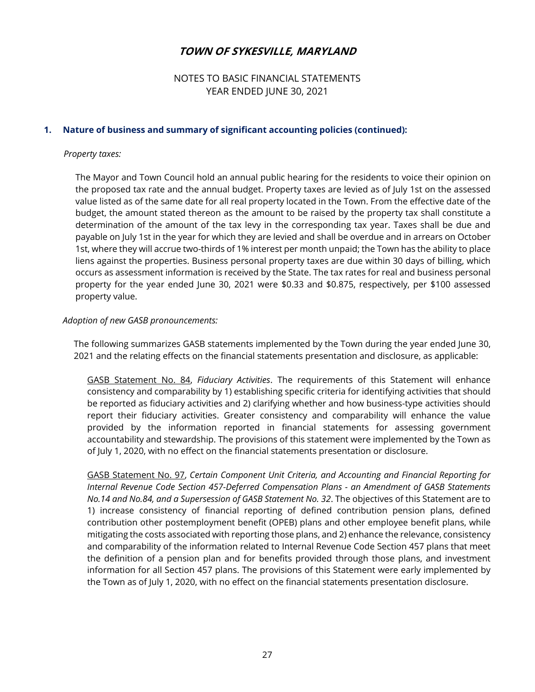## NOTES TO BASIC FINANCIAL STATEMENTS YEAR ENDED JUNE 30, 2021

#### **1. Nature of business and summary of significant accounting policies (continued):**

#### *Property taxes:*

The Mayor and Town Council hold an annual public hearing for the residents to voice their opinion on the proposed tax rate and the annual budget. Property taxes are levied as of July 1st on the assessed value listed as of the same date for all real property located in the Town. From the effective date of the budget, the amount stated thereon as the amount to be raised by the property tax shall constitute a determination of the amount of the tax levy in the corresponding tax year. Taxes shall be due and payable on July 1st in the year for which they are levied and shall be overdue and in arrears on October 1st, where they will accrue two-thirds of 1% interest per month unpaid; the Town has the ability to place liens against the properties. Business personal property taxes are due within 30 days of billing, which occurs as assessment information is received by the State. The tax rates for real and business personal property for the year ended June 30, 2021 were \$0.33 and \$0.875, respectively, per \$100 assessed property value.

#### *Adoption of new GASB pronouncements:*

The following summarizes GASB statements implemented by the Town during the year ended June 30, 2021 and the relating effects on the financial statements presentation and disclosure, as applicable:

GASB Statement No. 84, *Fiduciary Activities*. The requirements of this Statement will enhance consistency and comparability by 1) establishing specific criteria for identifying activities that should be reported as fiduciary activities and 2) clarifying whether and how business-type activities should report their fiduciary activities. Greater consistency and comparability will enhance the value provided by the information reported in financial statements for assessing government accountability and stewardship. The provisions of this statement were implemented by the Town as of July 1, 2020, with no effect on the financial statements presentation or disclosure.

GASB Statement No. 97, *Certain Component Unit Criteria, and Accounting and Financial Reporting for Internal Revenue Code Section 457-Deferred Compensation Plans - an Amendment of GASB Statements No.14 and No.84, and a Supersession of GASB Statement No. 32*. The objectives of this Statement are to 1) increase consistency of financial reporting of defined contribution pension plans, defined contribution other postemployment benefit (OPEB) plans and other employee benefit plans, while mitigating the costs associated with reporting those plans, and 2) enhance the relevance, consistency and comparability of the information related to Internal Revenue Code Section 457 plans that meet the definition of a pension plan and for benefits provided through those plans, and investment information for all Section 457 plans. The provisions of this Statement were early implemented by the Town as of July 1, 2020, with no effect on the financial statements presentation disclosure.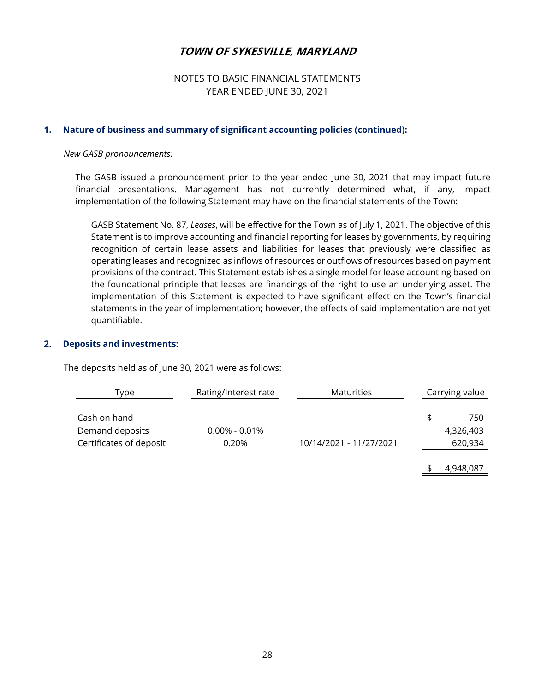## NOTES TO BASIC FINANCIAL STATEMENTS YEAR ENDED JUNE 30, 2021

#### **1. Nature of business and summary of significant accounting policies (continued):**

#### *New GASB pronouncements:*

The GASB issued a pronouncement prior to the year ended June 30, 2021 that may impact future financial presentations. Management has not currently determined what, if any, impact implementation of the following Statement may have on the financial statements of the Town:

GASB Statement No. 87, *Leases*, will be effective for the Town as of July 1, 2021. The objective of this Statement is to improve accounting and financial reporting for leases by governments, by requiring recognition of certain lease assets and liabilities for leases that previously were classified as operating leases and recognized as inflows of resources or outflows of resources based on payment provisions of the contract. This Statement establishes a single model for lease accounting based on the foundational principle that leases are financings of the right to use an underlying asset. The implementation of this Statement is expected to have significant effect on the Town's financial statements in the year of implementation; however, the effects of said implementation are not yet quantifiable.

#### **2. Deposits and investments:**

The deposits held as of June 30, 2021 were as follows:

| Type                                                       | <b>Maturities</b><br>Rating/Interest rate |                         | Carrying value                    |
|------------------------------------------------------------|-------------------------------------------|-------------------------|-----------------------------------|
| Cash on hand<br>Demand deposits<br>Certificates of deposit | $0.00\% - 0.01\%$<br>0.20%                | 10/14/2021 - 11/27/2021 | \$<br>750<br>4,326,403<br>620,934 |
|                                                            |                                           |                         | 4,948,087                         |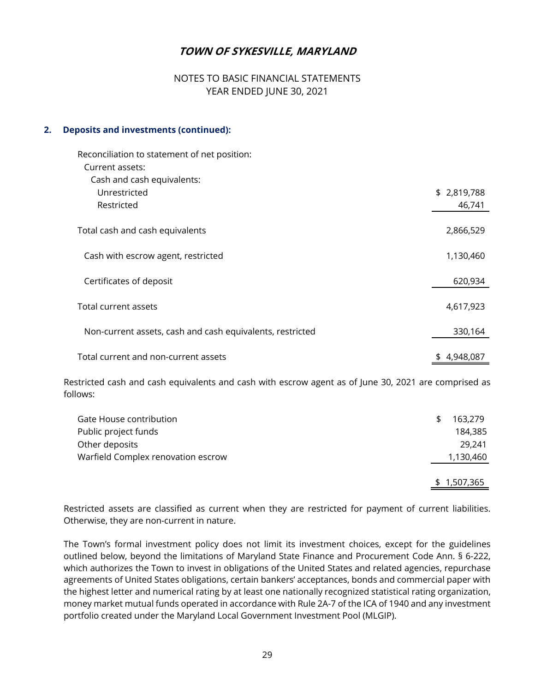## NOTES TO BASIC FINANCIAL STATEMENTS YEAR ENDED JUNE 30, 2021

#### **2. Deposits and investments (continued):**

| Reconciliation to statement of net position:              |              |
|-----------------------------------------------------------|--------------|
| Current assets:                                           |              |
| Cash and cash equivalents:                                |              |
| Unrestricted                                              | \$ 2,819,788 |
| Restricted                                                | 46,741       |
|                                                           |              |
| Total cash and cash equivalents                           | 2,866,529    |
|                                                           |              |
| Cash with escrow agent, restricted                        | 1,130,460    |
|                                                           |              |
| Certificates of deposit                                   | 620,934      |
|                                                           |              |
| Total current assets                                      | 4,617,923    |
| Non-current assets, cash and cash equivalents, restricted | 330,164      |
|                                                           |              |
| Total current and non-current assets                      | \$4,948,087  |
|                                                           |              |

Restricted cash and cash equivalents and cash with escrow agent as of June 30, 2021 are comprised as follows:

| Gate House contribution            | 163,279   |
|------------------------------------|-----------|
| Public project funds               | 184,385   |
| Other deposits                     | 29.241    |
| Warfield Complex renovation escrow | 1,130,460 |
|                                    |           |

#### \$ 1,507,365

Restricted assets are classified as current when they are restricted for payment of current liabilities. Otherwise, they are non-current in nature.

The Town's formal investment policy does not limit its investment choices, except for the guidelines outlined below, beyond the limitations of Maryland State Finance and Procurement Code Ann. § 6-222, which authorizes the Town to invest in obligations of the United States and related agencies, repurchase agreements of United States obligations, certain bankers' acceptances, bonds and commercial paper with the highest letter and numerical rating by at least one nationally recognized statistical rating organization, money market mutual funds operated in accordance with Rule 2A-7 of the ICA of 1940 and any investment portfolio created under the Maryland Local Government Investment Pool (MLGIP).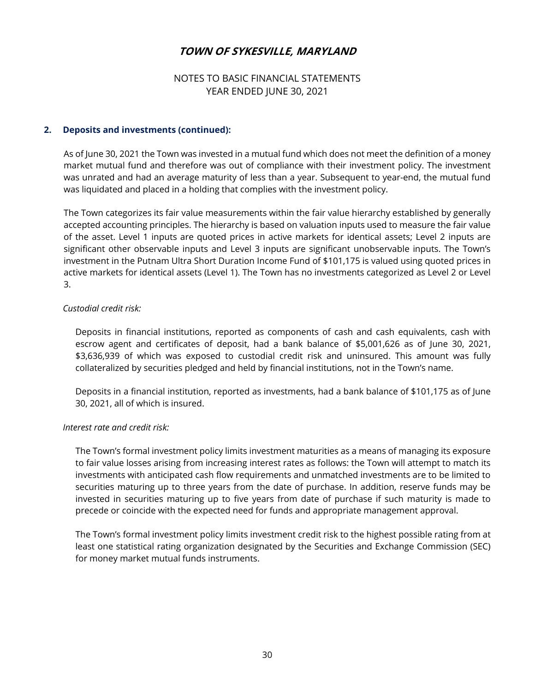## NOTES TO BASIC FINANCIAL STATEMENTS YEAR ENDED JUNE 30, 2021

#### **2. Deposits and investments (continued):**

As of June 30, 2021 the Town was invested in a mutual fund which does not meet the definition of a money market mutual fund and therefore was out of compliance with their investment policy. The investment was unrated and had an average maturity of less than a year. Subsequent to year-end, the mutual fund was liquidated and placed in a holding that complies with the investment policy.

The Town categorizes its fair value measurements within the fair value hierarchy established by generally accepted accounting principles. The hierarchy is based on valuation inputs used to measure the fair value of the asset. Level 1 inputs are quoted prices in active markets for identical assets; Level 2 inputs are significant other observable inputs and Level 3 inputs are significant unobservable inputs. The Town's investment in the Putnam Ultra Short Duration Income Fund of \$101,175 is valued using quoted prices in active markets for identical assets (Level 1). The Town has no investments categorized as Level 2 or Level 3.

#### *Custodial credit risk:*

Deposits in financial institutions, reported as components of cash and cash equivalents, cash with escrow agent and certificates of deposit, had a bank balance of \$5,001,626 as of June 30, 2021, \$3,636,939 of which was exposed to custodial credit risk and uninsured. This amount was fully collateralized by securities pledged and held by financial institutions, not in the Town's name.

Deposits in a financial institution, reported as investments, had a bank balance of \$101,175 as of June 30, 2021, all of which is insured.

#### *Interest rate and credit risk:*

The Town's formal investment policy limits investment maturities as a means of managing its exposure to fair value losses arising from increasing interest rates as follows: the Town will attempt to match its investments with anticipated cash flow requirements and unmatched investments are to be limited to securities maturing up to three years from the date of purchase. In addition, reserve funds may be invested in securities maturing up to five years from date of purchase if such maturity is made to precede or coincide with the expected need for funds and appropriate management approval.

The Town's formal investment policy limits investment credit risk to the highest possible rating from at least one statistical rating organization designated by the Securities and Exchange Commission (SEC) for money market mutual funds instruments.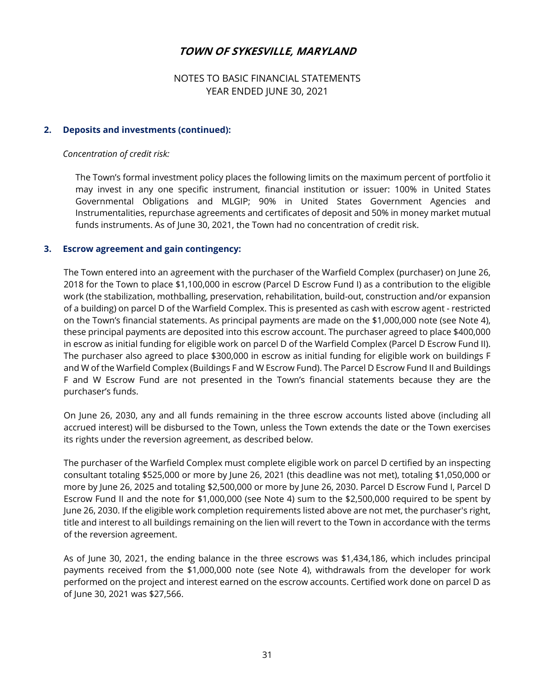## NOTES TO BASIC FINANCIAL STATEMENTS YEAR ENDED JUNE 30, 2021

#### **2. Deposits and investments (continued):**

#### *Concentration of credit risk:*

The Town's formal investment policy places the following limits on the maximum percent of portfolio it may invest in any one specific instrument, financial institution or issuer: 100% in United States Governmental Obligations and MLGIP; 90% in United States Government Agencies and Instrumentalities, repurchase agreements and certificates of deposit and 50% in money market mutual funds instruments. As of June 30, 2021, the Town had no concentration of credit risk.

#### **3. Escrow agreement and gain contingency:**

The Town entered into an agreement with the purchaser of the Warfield Complex (purchaser) on June 26, 2018 for the Town to place \$1,100,000 in escrow (Parcel D Escrow Fund I) as a contribution to the eligible work (the stabilization, mothballing, preservation, rehabilitation, build-out, construction and/or expansion of a building) on parcel D of the Warfield Complex. This is presented as cash with escrow agent - restricted on the Town's financial statements. As principal payments are made on the \$1,000,000 note (see Note 4), these principal payments are deposited into this escrow account. The purchaser agreed to place \$400,000 in escrow as initial funding for eligible work on parcel D of the Warfield Complex (Parcel D Escrow Fund II). The purchaser also agreed to place \$300,000 in escrow as initial funding for eligible work on buildings F and W of the Warfield Complex (Buildings F and W Escrow Fund). The Parcel D Escrow Fund II and Buildings F and W Escrow Fund are not presented in the Town's financial statements because they are the purchaser's funds.

On June 26, 2030, any and all funds remaining in the three escrow accounts listed above (including all accrued interest) will be disbursed to the Town, unless the Town extends the date or the Town exercises its rights under the reversion agreement, as described below.

The purchaser of the Warfield Complex must complete eligible work on parcel D certified by an inspecting consultant totaling \$525,000 or more by June 26, 2021 (this deadline was not met), totaling \$1,050,000 or more by June 26, 2025 and totaling \$2,500,000 or more by June 26, 2030. Parcel D Escrow Fund I, Parcel D Escrow Fund II and the note for \$1,000,000 (see Note 4) sum to the \$2,500,000 required to be spent by June 26, 2030. If the eligible work completion requirements listed above are not met, the purchaser's right, title and interest to all buildings remaining on the lien will revert to the Town in accordance with the terms of the reversion agreement.

As of June 30, 2021, the ending balance in the three escrows was \$1,434,186, which includes principal payments received from the \$1,000,000 note (see Note 4), withdrawals from the developer for work performed on the project and interest earned on the escrow accounts. Certified work done on parcel D as of June 30, 2021 was \$27,566.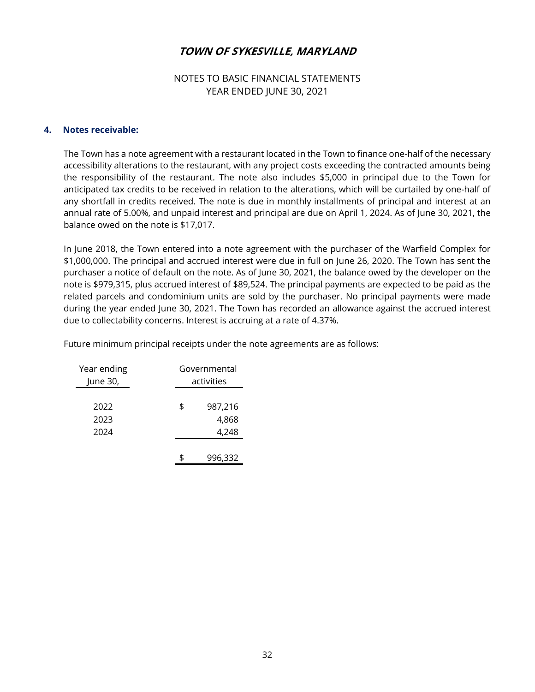## NOTES TO BASIC FINANCIAL STATEMENTS YEAR ENDED JUNE 30, 2021

#### **4. Notes receivable:**

The Town has a note agreement with a restaurant located in the Town to finance one-half of the necessary accessibility alterations to the restaurant, with any project costs exceeding the contracted amounts being the responsibility of the restaurant. The note also includes \$5,000 in principal due to the Town for anticipated tax credits to be received in relation to the alterations, which will be curtailed by one-half of any shortfall in credits received. The note is due in monthly installments of principal and interest at an annual rate of 5.00%, and unpaid interest and principal are due on April 1, 2024. As of June 30, 2021, the balance owed on the note is \$17,017.

In June 2018, the Town entered into a note agreement with the purchaser of the Warfield Complex for \$1,000,000. The principal and accrued interest were due in full on June 26, 2020. The Town has sent the purchaser a notice of default on the note. As of June 30, 2021, the balance owed by the developer on the note is \$979,315, plus accrued interest of \$89,524. The principal payments are expected to be paid as the related parcels and condominium units are sold by the purchaser. No principal payments were made during the year ended June 30, 2021. The Town has recorded an allowance against the accrued interest due to collectability concerns. Interest is accruing at a rate of 4.37%.

Future minimum principal receipts under the note agreements are as follows:

| Year ending<br>June 30, | Governmental<br>activities      |  |
|-------------------------|---------------------------------|--|
| 2022<br>2023<br>2024    | \$<br>987,216<br>4,868<br>4,248 |  |
|                         | \$<br>996,332                   |  |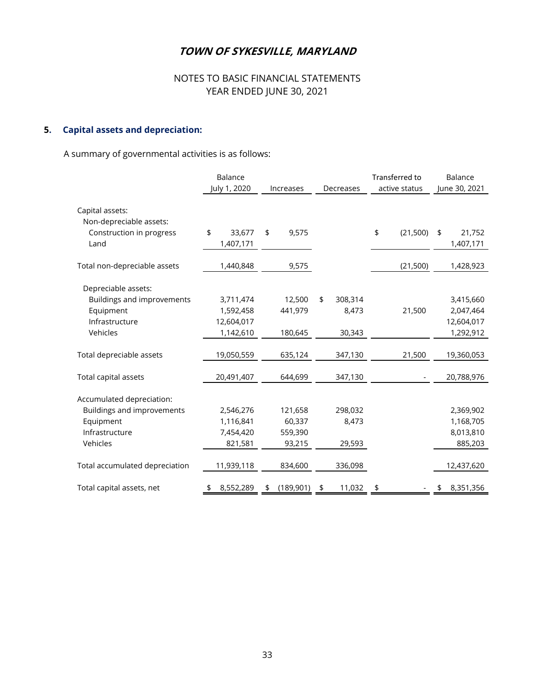# NOTES TO BASIC FINANCIAL STATEMENTS YEAR ENDED JUNE 30, 2021

## **5. Capital assets and depreciation:**

A summary of governmental activities is as follows:

|                                                                        | Balance         |                 |               | Transferred to | Balance       |
|------------------------------------------------------------------------|-----------------|-----------------|---------------|----------------|---------------|
|                                                                        | July 1, 2020    | Increases       | Decreases     | active status  | June 30, 2021 |
| Capital assets:<br>Non-depreciable assets:<br>Construction in progress | \$<br>33,677    | 9,575<br>\$     |               | \$<br>(21,500) | 21,752<br>\$  |
| Land                                                                   | 1,407,171       |                 |               |                | 1,407,171     |
| Total non-depreciable assets                                           | 1,440,848       | 9,575           |               | (21,500)       | 1,428,923     |
| Depreciable assets:                                                    |                 |                 |               |                |               |
| <b>Buildings and improvements</b>                                      | 3,711,474       | 12,500          | \$<br>308,314 |                | 3,415,660     |
| Equipment                                                              | 1,592,458       | 441,979         | 8,473         | 21,500         | 2,047,464     |
| Infrastructure                                                         | 12,604,017      |                 |               |                | 12,604,017    |
| Vehicles                                                               | 1,142,610       | 180,645         | 30,343        |                | 1,292,912     |
| Total depreciable assets                                               | 19,050,559      | 635,124         | 347,130       | 21,500         | 19,360,053    |
| Total capital assets                                                   | 20,491,407      | 644,699         | 347,130       |                | 20,788,976    |
| Accumulated depreciation:                                              |                 |                 |               |                |               |
| Buildings and improvements                                             | 2,546,276       | 121,658         | 298,032       |                | 2,369,902     |
| Equipment                                                              | 1,116,841       | 60,337          | 8,473         |                | 1,168,705     |
| Infrastructure                                                         | 7,454,420       | 559,390         |               |                | 8,013,810     |
| Vehicles                                                               | 821,581         | 93,215          | 29,593        |                | 885,203       |
| Total accumulated depreciation                                         | 11,939,118      | 834,600         | 336,098       |                | 12,437,620    |
| Total capital assets, net                                              | 8,552,289<br>\$ | (189,901)<br>\$ | 11,032<br>\$  | \$             | 8,351,356     |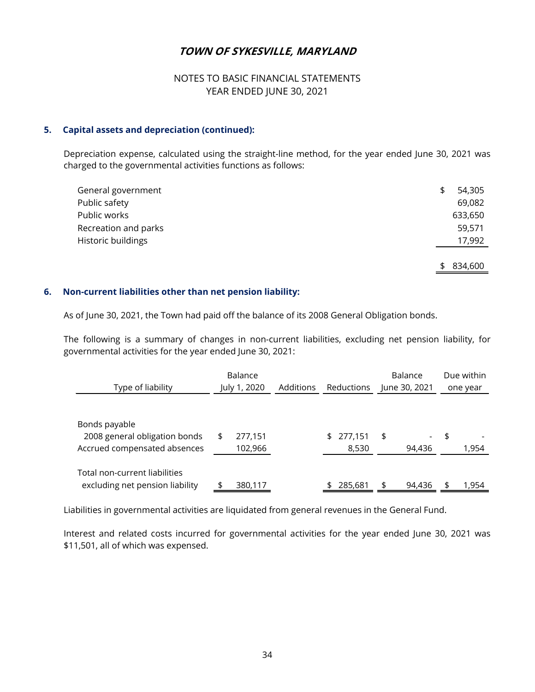## NOTES TO BASIC FINANCIAL STATEMENTS YEAR ENDED JUNE 30, 2021

#### **5. Capital assets and depreciation (continued):**

Depreciation expense, calculated using the straight-line method, for the year ended June 30, 2021 was charged to the governmental activities functions as follows:

| General government   | \$<br>54,305  |
|----------------------|---------------|
| Public safety        | 69,082        |
| Public works         | 633,650       |
| Recreation and parks | 59,571        |
| Historic buildings   | 17,992        |
|                      |               |
|                      | \$<br>834,600 |

#### **6. Non-current liabilities other than net pension liability:**

As of June 30, 2021, the Town had paid off the balance of its 2008 General Obligation bonds.

The following is a summary of changes in non-current liabilities, excluding net pension liability, for governmental activities for the year ended June 30, 2021:

| Type of liability                                                | <b>Balance</b><br>July 1, 2020 | Additions | Reductions | <b>Balance</b><br>June 30, 2021 | Due within<br>one year |
|------------------------------------------------------------------|--------------------------------|-----------|------------|---------------------------------|------------------------|
|                                                                  |                                |           |            |                                 |                        |
| Bonds payable<br>2008 general obligation bonds                   | \$<br>277,151                  |           | \$277,151  | \$<br>$\sim$                    | \$                     |
| Accrued compensated absences                                     | 102,966                        |           | 8,530      | 94,436                          | 1,954                  |
| Total non-current liabilities<br>excluding net pension liability | 380,117                        |           | 285.681    | 94,436                          | 1,954                  |

Liabilities in governmental activities are liquidated from general revenues in the General Fund.

Interest and related costs incurred for governmental activities for the year ended June 30, 2021 was \$11,501, all of which was expensed.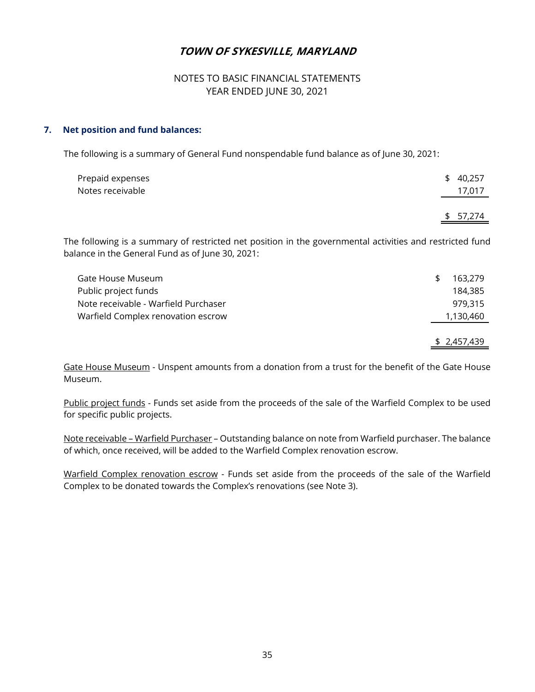## NOTES TO BASIC FINANCIAL STATEMENTS YEAR ENDED JUNE 30, 2021

#### **7. Net position and fund balances:**

The following is a summary of General Fund nonspendable fund balance as of June 30, 2021:

| Prepaid expenses |  | \$40,257  |
|------------------|--|-----------|
| Notes receivable |  | 17,017    |
|                  |  |           |
|                  |  | \$ 57,274 |
|                  |  |           |

The following is a summary of restricted net position in the governmental activities and restricted fund balance in the General Fund as of June 30, 2021:

| Gate House Museum                    | \$<br>163.279 |
|--------------------------------------|---------------|
| Public project funds                 | 184,385       |
| Note receivable - Warfield Purchaser | 979.315       |
| Warfield Complex renovation escrow   | 1,130,460     |
|                                      |               |
|                                      | \$ 2,457,439  |

Gate House Museum - Unspent amounts from a donation from a trust for the benefit of the Gate House Museum.

Public project funds - Funds set aside from the proceeds of the sale of the Warfield Complex to be used for specific public projects.

Note receivable – Warfield Purchaser – Outstanding balance on note from Warfield purchaser. The balance of which, once received, will be added to the Warfield Complex renovation escrow.

Warfield Complex renovation escrow - Funds set aside from the proceeds of the sale of the Warfield Complex to be donated towards the Complex's renovations (see Note 3).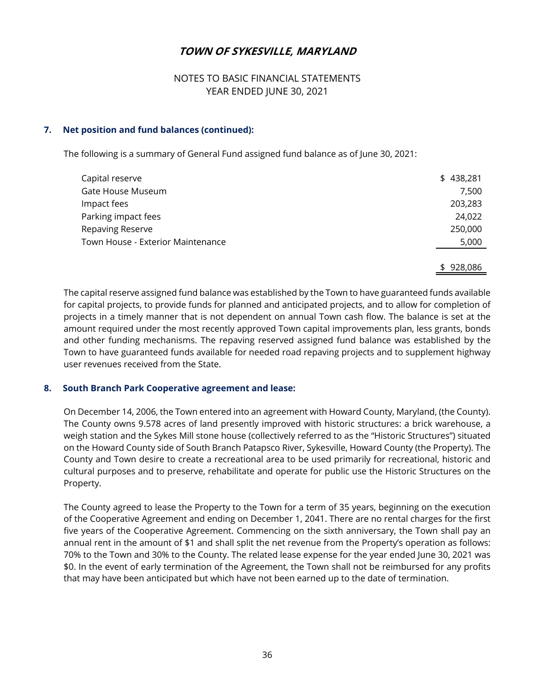## NOTES TO BASIC FINANCIAL STATEMENTS YEAR ENDED JUNE 30, 2021

#### **7. Net position and fund balances (continued):**

The following is a summary of General Fund assigned fund balance as of June 30, 2021:

| Capital reserve                   | \$438,281 |
|-----------------------------------|-----------|
| Gate House Museum                 | 7,500     |
| Impact fees                       | 203,283   |
| Parking impact fees               | 24,022    |
| Repaving Reserve                  | 250,000   |
| Town House - Exterior Maintenance | 5,000     |
|                                   |           |
|                                   | \$928,086 |

The capital reserve assigned fund balance was established by the Town to have guaranteed funds available for capital projects, to provide funds for planned and anticipated projects, and to allow for completion of projects in a timely manner that is not dependent on annual Town cash flow. The balance is set at the amount required under the most recently approved Town capital improvements plan, less grants, bonds and other funding mechanisms. The repaving reserved assigned fund balance was established by the Town to have guaranteed funds available for needed road repaving projects and to supplement highway user revenues received from the State.

#### **8. South Branch Park Cooperative agreement and lease:**

On December 14, 2006, the Town entered into an agreement with Howard County, Maryland, (the County). The County owns 9.578 acres of land presently improved with historic structures: a brick warehouse, a weigh station and the Sykes Mill stone house (collectively referred to as the "Historic Structures") situated on the Howard County side of South Branch Patapsco River, Sykesville, Howard County (the Property). The County and Town desire to create a recreational area to be used primarily for recreational, historic and cultural purposes and to preserve, rehabilitate and operate for public use the Historic Structures on the Property.

The County agreed to lease the Property to the Town for a term of 35 years, beginning on the execution of the Cooperative Agreement and ending on December 1, 2041. There are no rental charges for the first five years of the Cooperative Agreement. Commencing on the sixth anniversary, the Town shall pay an annual rent in the amount of \$1 and shall split the net revenue from the Property's operation as follows: 70% to the Town and 30% to the County. The related lease expense for the year ended June 30, 2021 was \$0. In the event of early termination of the Agreement, the Town shall not be reimbursed for any profits that may have been anticipated but which have not been earned up to the date of termination.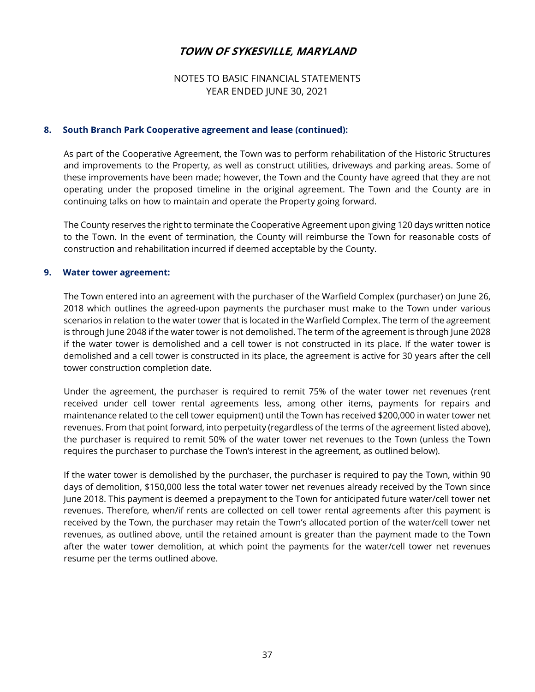## NOTES TO BASIC FINANCIAL STATEMENTS YEAR ENDED JUNE 30, 2021

#### **8. South Branch Park Cooperative agreement and lease (continued):**

As part of the Cooperative Agreement, the Town was to perform rehabilitation of the Historic Structures and improvements to the Property, as well as construct utilities, driveways and parking areas. Some of these improvements have been made; however, the Town and the County have agreed that they are not operating under the proposed timeline in the original agreement. The Town and the County are in continuing talks on how to maintain and operate the Property going forward.

The County reserves the right to terminate the Cooperative Agreement upon giving 120 days written notice to the Town. In the event of termination, the County will reimburse the Town for reasonable costs of construction and rehabilitation incurred if deemed acceptable by the County.

#### **9. Water tower agreement:**

The Town entered into an agreement with the purchaser of the Warfield Complex (purchaser) on June 26, 2018 which outlines the agreed-upon payments the purchaser must make to the Town under various scenarios in relation to the water tower that is located in the Warfield Complex. The term of the agreement is through June 2048 if the water tower is not demolished. The term of the agreement is through June 2028 if the water tower is demolished and a cell tower is not constructed in its place. If the water tower is demolished and a cell tower is constructed in its place, the agreement is active for 30 years after the cell tower construction completion date.

Under the agreement, the purchaser is required to remit 75% of the water tower net revenues (rent received under cell tower rental agreements less, among other items, payments for repairs and maintenance related to the cell tower equipment) until the Town has received \$200,000 in water tower net revenues. From that point forward, into perpetuity (regardless of the terms of the agreement listed above), the purchaser is required to remit 50% of the water tower net revenues to the Town (unless the Town requires the purchaser to purchase the Town's interest in the agreement, as outlined below).

If the water tower is demolished by the purchaser, the purchaser is required to pay the Town, within 90 days of demolition, \$150,000 less the total water tower net revenues already received by the Town since June 2018. This payment is deemed a prepayment to the Town for anticipated future water/cell tower net revenues. Therefore, when/if rents are collected on cell tower rental agreements after this payment is received by the Town, the purchaser may retain the Town's allocated portion of the water/cell tower net revenues, as outlined above, until the retained amount is greater than the payment made to the Town after the water tower demolition, at which point the payments for the water/cell tower net revenues resume per the terms outlined above.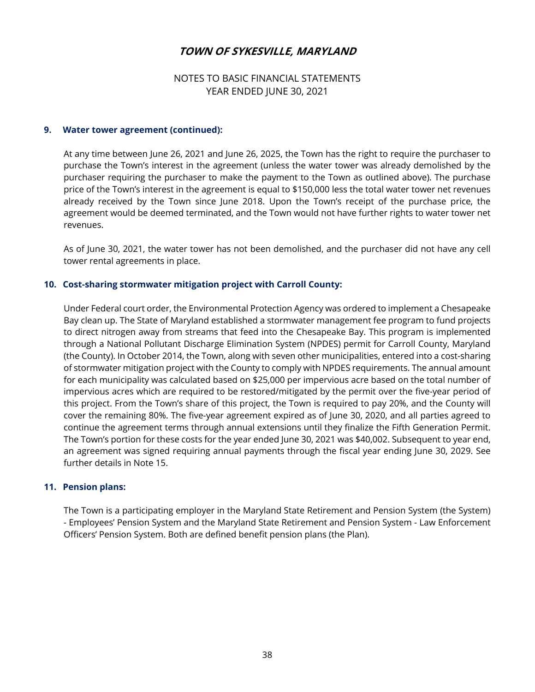## NOTES TO BASIC FINANCIAL STATEMENTS YEAR ENDED JUNE 30, 2021

#### **9. Water tower agreement (continued):**

At any time between June 26, 2021 and June 26, 2025, the Town has the right to require the purchaser to purchase the Town's interest in the agreement (unless the water tower was already demolished by the purchaser requiring the purchaser to make the payment to the Town as outlined above). The purchase price of the Town's interest in the agreement is equal to \$150,000 less the total water tower net revenues already received by the Town since June 2018. Upon the Town's receipt of the purchase price, the agreement would be deemed terminated, and the Town would not have further rights to water tower net revenues.

As of June 30, 2021, the water tower has not been demolished, and the purchaser did not have any cell tower rental agreements in place.

#### **10. Cost-sharing stormwater mitigation project with Carroll County:**

Under Federal court order, the Environmental Protection Agency was ordered to implement a Chesapeake Bay clean up. The State of Maryland established a stormwater management fee program to fund projects to direct nitrogen away from streams that feed into the Chesapeake Bay. This program is implemented through a National Pollutant Discharge Elimination System (NPDES) permit for Carroll County, Maryland (the County). In October 2014, the Town, along with seven other municipalities, entered into a cost-sharing of stormwater mitigation project with the County to comply with NPDES requirements. The annual amount for each municipality was calculated based on \$25,000 per impervious acre based on the total number of impervious acres which are required to be restored/mitigated by the permit over the five-year period of this project. From the Town's share of this project, the Town is required to pay 20%, and the County will cover the remaining 80%. The five-year agreement expired as of June 30, 2020, and all parties agreed to continue the agreement terms through annual extensions until they finalize the Fifth Generation Permit. The Town's portion for these costs for the year ended June 30, 2021 was \$40,002. Subsequent to year end, an agreement was signed requiring annual payments through the fiscal year ending June 30, 2029. See further details in Note 15.

#### **11. Pension plans:**

The Town is a participating employer in the Maryland State Retirement and Pension System (the System) - Employees' Pension System and the Maryland State Retirement and Pension System - Law Enforcement Officers' Pension System. Both are defined benefit pension plans (the Plan).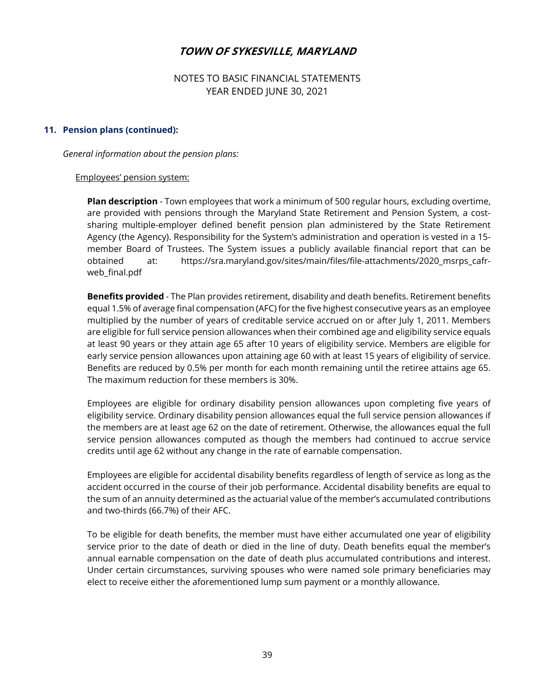## NOTES TO BASIC FINANCIAL STATEMENTS YEAR ENDED JUNE 30, 2021

#### **11. Pension plans (continued):**

 *General information about the pension plans:* 

#### Employees' pension system:

**Plan description** - Town employees that work a minimum of 500 regular hours, excluding overtime, are provided with pensions through the Maryland State Retirement and Pension System, a costsharing multiple-employer defined benefit pension plan administered by the State Retirement Agency (the Agency). Responsibility for the System's administration and operation is vested in a 15 member Board of Trustees. The System issues a publicly available financial report that can be obtained at: https://sra.maryland.gov/sites/main/files/file-attachments/2020\_msrps\_cafrweb\_final.pdf

**Benefits provided** - The Plan provides retirement, disability and death benefits. Retirement benefits equal 1.5% of average final compensation (AFC) for the five highest consecutive years as an employee multiplied by the number of years of creditable service accrued on or after July 1, 2011. Members are eligible for full service pension allowances when their combined age and eligibility service equals at least 90 years or they attain age 65 after 10 years of eligibility service. Members are eligible for early service pension allowances upon attaining age 60 with at least 15 years of eligibility of service. Benefits are reduced by 0.5% per month for each month remaining until the retiree attains age 65. The maximum reduction for these members is 30%.

Employees are eligible for ordinary disability pension allowances upon completing five years of eligibility service. Ordinary disability pension allowances equal the full service pension allowances if the members are at least age 62 on the date of retirement. Otherwise, the allowances equal the full service pension allowances computed as though the members had continued to accrue service credits until age 62 without any change in the rate of earnable compensation.

Employees are eligible for accidental disability benefits regardless of length of service as long as the accident occurred in the course of their job performance. Accidental disability benefits are equal to the sum of an annuity determined as the actuarial value of the member's accumulated contributions and two-thirds (66.7%) of their AFC.

To be eligible for death benefits, the member must have either accumulated one year of eligibility service prior to the date of death or died in the line of duty. Death benefits equal the member's annual earnable compensation on the date of death plus accumulated contributions and interest. Under certain circumstances, surviving spouses who were named sole primary beneficiaries may elect to receive either the aforementioned lump sum payment or a monthly allowance.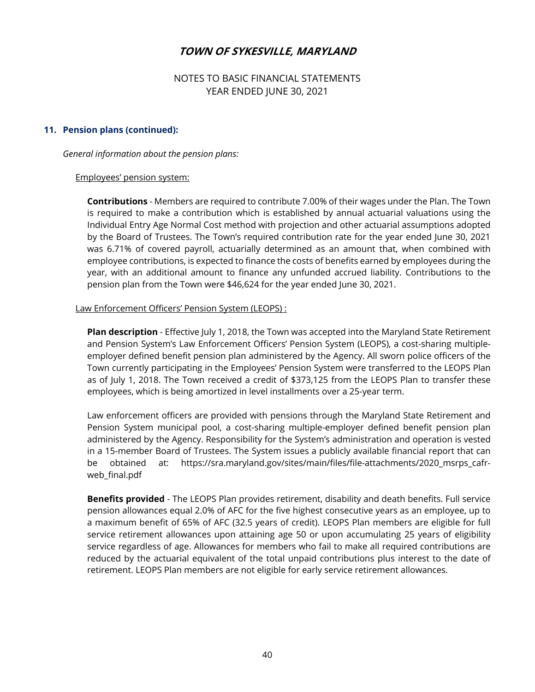## NOTES TO BASIC FINANCIAL STATEMENTS YEAR ENDED JUNE 30, 2021

#### **11. Pension plans (continued):**

 *General information about the pension plans:* 

#### Employees' pension system:

**Contributions** - Members are required to contribute 7.00% of their wages under the Plan. The Town is required to make a contribution which is established by annual actuarial valuations using the Individual Entry Age Normal Cost method with projection and other actuarial assumptions adopted by the Board of Trustees. The Town's required contribution rate for the year ended June 30, 2021 was 6.71% of covered payroll, actuarially determined as an amount that, when combined with employee contributions, is expected to finance the costs of benefits earned by employees during the year, with an additional amount to finance any unfunded accrued liability. Contributions to the pension plan from the Town were \$46,624 for the year ended June 30, 2021.

#### Law Enforcement Officers' Pension System (LEOPS) :

**Plan description** - Effective July 1, 2018, the Town was accepted into the Maryland State Retirement and Pension System's Law Enforcement Officers' Pension System (LEOPS), a cost-sharing multipleemployer defined benefit pension plan administered by the Agency. All sworn police officers of the Town currently participating in the Employees' Pension System were transferred to the LEOPS Plan as of July 1, 2018. The Town received a credit of \$373,125 from the LEOPS Plan to transfer these employees, which is being amortized in level installments over a 25-year term.

Law enforcement officers are provided with pensions through the Maryland State Retirement and Pension System municipal pool, a cost-sharing multiple-employer defined benefit pension plan administered by the Agency. Responsibility for the System's administration and operation is vested in a 15-member Board of Trustees. The System issues a publicly available financial report that can be obtained at: https://sra.maryland.gov/sites/main/files/file-attachments/2020\_msrps\_cafrweb\_final.pdf

**Benefits provided** - The LEOPS Plan provides retirement, disability and death benefits. Full service pension allowances equal 2.0% of AFC for the five highest consecutive years as an employee, up to a maximum benefit of 65% of AFC (32.5 years of credit). LEOPS Plan members are eligible for full service retirement allowances upon attaining age 50 or upon accumulating 25 years of eligibility service regardless of age. Allowances for members who fail to make all required contributions are reduced by the actuarial equivalent of the total unpaid contributions plus interest to the date of retirement. LEOPS Plan members are not eligible for early service retirement allowances.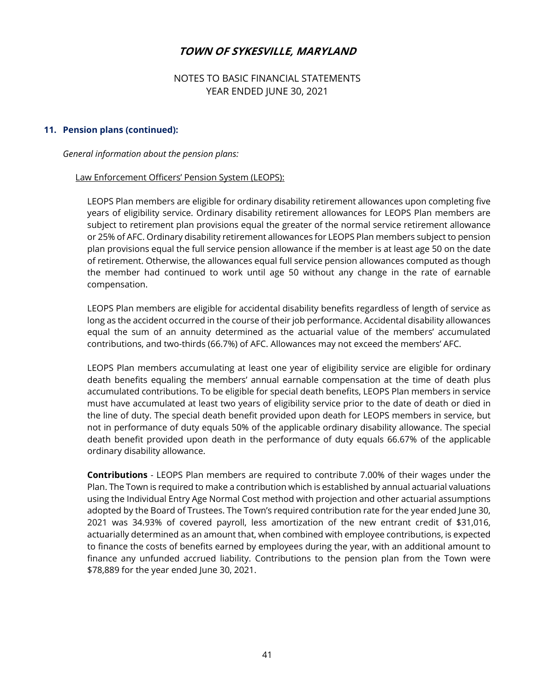## NOTES TO BASIC FINANCIAL STATEMENTS YEAR ENDED JUNE 30, 2021

#### **11. Pension plans (continued):**

 *General information about the pension plans:*

#### **Law Enforcement Officers' Pension System (LEOPS):**

LEOPS Plan members are eligible for ordinary disability retirement allowances upon completing five years of eligibility service. Ordinary disability retirement allowances for LEOPS Plan members are subject to retirement plan provisions equal the greater of the normal service retirement allowance or 25% of AFC. Ordinary disability retirement allowances for LEOPS Plan members subject to pension plan provisions equal the full service pension allowance if the member is at least age 50 on the date of retirement. Otherwise, the allowances equal full service pension allowances computed as though the member had continued to work until age 50 without any change in the rate of earnable compensation.

LEOPS Plan members are eligible for accidental disability benefits regardless of length of service as long as the accident occurred in the course of their job performance. Accidental disability allowances equal the sum of an annuity determined as the actuarial value of the members' accumulated contributions, and two-thirds (66.7%) of AFC. Allowances may not exceed the members' AFC.

LEOPS Plan members accumulating at least one year of eligibility service are eligible for ordinary death benefits equaling the members' annual earnable compensation at the time of death plus accumulated contributions. To be eligible for special death benefits, LEOPS Plan members in service must have accumulated at least two years of eligibility service prior to the date of death or died in the line of duty. The special death benefit provided upon death for LEOPS members in service, but not in performance of duty equals 50% of the applicable ordinary disability allowance. The special death benefit provided upon death in the performance of duty equals 66.67% of the applicable ordinary disability allowance.

**Contributions** - LEOPS Plan members are required to contribute 7.00% of their wages under the Plan. The Town is required to make a contribution which is established by annual actuarial valuations using the Individual Entry Age Normal Cost method with projection and other actuarial assumptions adopted by the Board of Trustees. The Town's required contribution rate for the year ended June 30, 2021 was 34.93% of covered payroll, less amortization of the new entrant credit of \$31,016, actuarially determined as an amount that, when combined with employee contributions, is expected to finance the costs of benefits earned by employees during the year, with an additional amount to finance any unfunded accrued liability. Contributions to the pension plan from the Town were \$78,889 for the year ended June 30, 2021.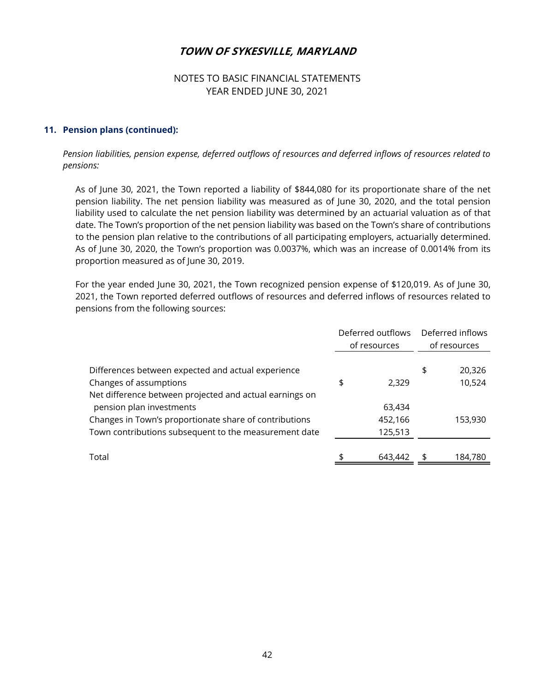## NOTES TO BASIC FINANCIAL STATEMENTS YEAR ENDED JUNE 30, 2021

#### **11. Pension plans (continued):**

*Pension liabilities, pension expense, deferred outflows of resources and deferred inflows of resources related to pensions:* 

As of June 30, 2021, the Town reported a liability of \$844,080 for its proportionate share of the net pension liability. The net pension liability was measured as of June 30, 2020, and the total pension liability used to calculate the net pension liability was determined by an actuarial valuation as of that date. The Town's proportion of the net pension liability was based on the Town's share of contributions to the pension plan relative to the contributions of all participating employers, actuarially determined. As of June 30, 2020, the Town's proportion was 0.0037%, which was an increase of 0.0014% from its proportion measured as of June 30, 2019.

For the year ended June 30, 2021, the Town recognized pension expense of \$120,019. As of June 30, 2021, the Town reported deferred outflows of resources and deferred inflows of resources related to pensions from the following sources:

| Deferred outflows<br>of resources |    | Deferred inflows<br>of resources |  |  |
|-----------------------------------|----|----------------------------------|--|--|
|                                   |    |                                  |  |  |
|                                   | \$ | 20,326                           |  |  |
| \$<br>2,329                       |    | 10,524                           |  |  |
|                                   |    |                                  |  |  |
| 63,434                            |    |                                  |  |  |
| 452,166                           |    | 153,930                          |  |  |
| 125,513                           |    |                                  |  |  |
|                                   |    |                                  |  |  |
| 643,442                           |    | 184,780                          |  |  |
|                                   |    |                                  |  |  |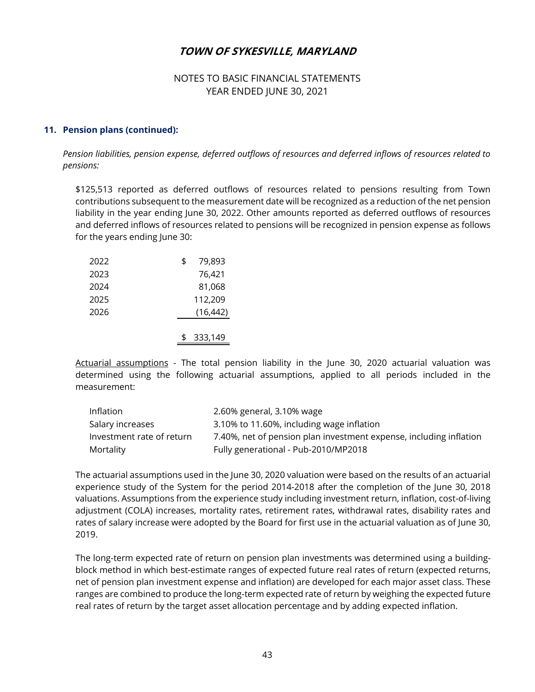## NOTES TO BASIC FINANCIAL STATEMENTS YEAR ENDED JUNE 30, 2021

#### **11. Pension plans (continued):**

*Pension liabilities, pension expense, deferred outflows of resources and deferred inflows of resources related to pensions:* 

\$125,513 reported as deferred outflows of resources related to pensions resulting from Town contributions subsequent to the measurement date will be recognized as a reduction of the net pension liability in the year ending June 30, 2022. Other amounts reported as deferred outflows of resources and deferred inflows of resources related to pensions will be recognized in pension expense as follows for the years ending June 30:

| 2022 | \$<br>79,893 |
|------|--------------|
| 2023 | 76,421       |
| 2024 | 81,068       |
| 2025 | 112,209      |
| 2026 | (16, 442)    |
|      |              |
|      | 333,149      |

Actuarial assumptions - The total pension liability in the June 30, 2020 actuarial valuation was determined using the following actuarial assumptions, applied to all periods included in the measurement:

| Inflation                 | 2.60% general, 3.10% wage                                          |
|---------------------------|--------------------------------------------------------------------|
| Salary increases          | 3.10% to 11.60%, including wage inflation                          |
| Investment rate of return | 7.40%, net of pension plan investment expense, including inflation |
| Mortality                 | Fully generational - Pub-2010/MP2018                               |

The actuarial assumptions used in the June 30, 2020 valuation were based on the results of an actuarial experience study of the System for the period 2014-2018 after the completion of the June 30, 2018 valuations. Assumptions from the experience study including investment return, inflation, cost-of-living adjustment (COLA) increases, mortality rates, retirement rates, withdrawal rates, disability rates and rates of salary increase were adopted by the Board for first use in the actuarial valuation as of June 30, 2019.

The long-term expected rate of return on pension plan investments was determined using a buildingblock method in which best-estimate ranges of expected future real rates of return (expected returns, net of pension plan investment expense and inflation) are developed for each major asset class. These ranges are combined to produce the long-term expected rate of return by weighing the expected future real rates of return by the target asset allocation percentage and by adding expected inflation.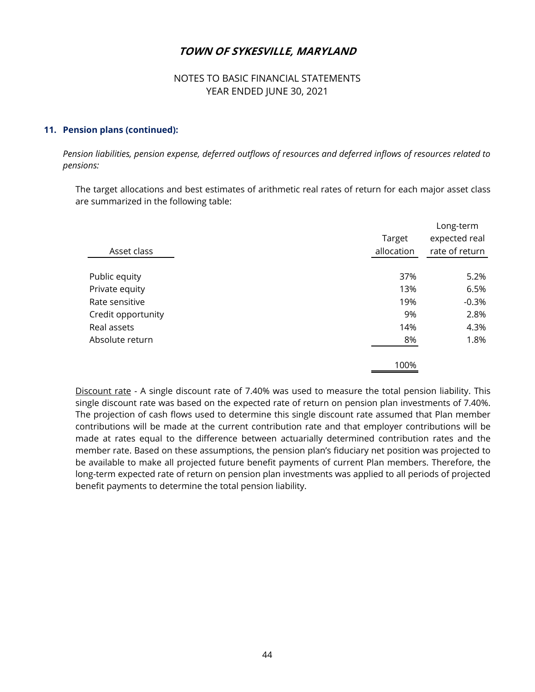## NOTES TO BASIC FINANCIAL STATEMENTS YEAR ENDED JUNE 30, 2021

#### **11. Pension plans (continued):**

*Pension liabilities, pension expense, deferred outflows of resources and deferred inflows of resources related to pensions:* 

The target allocations and best estimates of arithmetic real rates of return for each major asset class are summarized in the following table:

| Asset class        | Target<br>allocation | Long-term<br>expected real<br>rate of return |
|--------------------|----------------------|----------------------------------------------|
| Public equity      | 37%                  | 5.2%                                         |
| Private equity     | 13%                  | 6.5%                                         |
| Rate sensitive     | 19%                  | $-0.3%$                                      |
| Credit opportunity | 9%                   | 2.8%                                         |
| Real assets        | 14%                  | 4.3%                                         |
| Absolute return    | 8%                   | 1.8%                                         |
|                    | 100%                 |                                              |

Discount rate - A single discount rate of 7.40% was used to measure the total pension liability. This single discount rate was based on the expected rate of return on pension plan investments of 7.40%. The projection of cash flows used to determine this single discount rate assumed that Plan member contributions will be made at the current contribution rate and that employer contributions will be made at rates equal to the difference between actuarially determined contribution rates and the member rate. Based on these assumptions, the pension plan's fiduciary net position was projected to be available to make all projected future benefit payments of current Plan members. Therefore, the long-term expected rate of return on pension plan investments was applied to all periods of projected benefit payments to determine the total pension liability.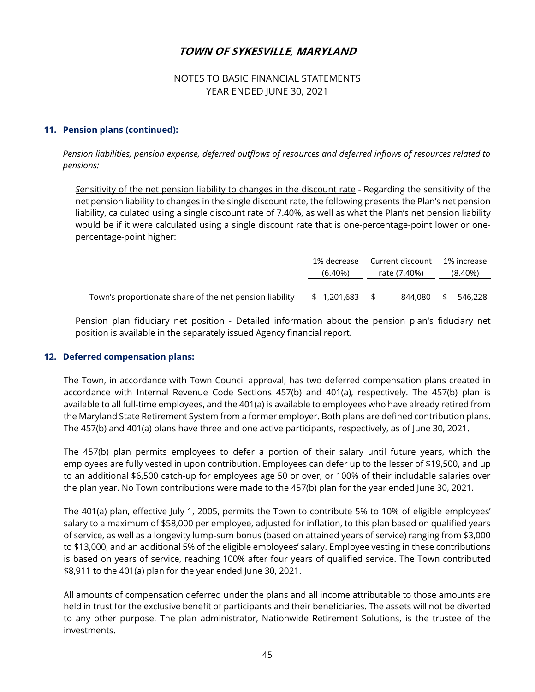## NOTES TO BASIC FINANCIAL STATEMENTS YEAR ENDED JUNE 30, 2021

#### **11. Pension plans (continued):**

*Pension liabilities, pension expense, deferred outflows of resources and deferred inflows of resources related to pensions:* 

*S*ensitivity of the net pension liability to changes in the discount rate - Regarding the sensitivity of the net pension liability to changes in the single discount rate, the following presents the Plan's net pension liability, calculated using a single discount rate of 7.40%, as well as what the Plan's net pension liability would be if it were calculated using a single discount rate that is one-percentage-point lower or onepercentage-point higher:

|                                                         | 1% decrease Current discount |              | 1% increase |
|---------------------------------------------------------|------------------------------|--------------|-------------|
|                                                         | $(6.40\%)$                   | rate (7.40%) | $(8.40\%)$  |
|                                                         |                              |              |             |
| Town's proportionate share of the net pension liability | \$1.201.683\$                | 844.080 \$   | 546.228     |

Pension plan fiduciary net position - Detailed information about the pension plan's fiduciary net position is available in the separately issued Agency financial report.

#### **12. Deferred compensation plans:**

The Town, in accordance with Town Council approval, has two deferred compensation plans created in accordance with Internal Revenue Code Sections 457(b) and 401(a), respectively. The 457(b) plan is available to all full-time employees, and the 401(a) is available to employees who have already retired from the Maryland State Retirement System from a former employer. Both plans are defined contribution plans. The 457(b) and 401(a) plans have three and one active participants, respectively, as of June 30, 2021.

The 457(b) plan permits employees to defer a portion of their salary until future years, which the employees are fully vested in upon contribution. Employees can defer up to the lesser of \$19,500, and up to an additional \$6,500 catch-up for employees age 50 or over, or 100% of their includable salaries over the plan year. No Town contributions were made to the 457(b) plan for the year ended June 30, 2021.

The 401(a) plan, effective July 1, 2005, permits the Town to contribute 5% to 10% of eligible employees' salary to a maximum of \$58,000 per employee, adjusted for inflation, to this plan based on qualified years of service, as well as a longevity lump-sum bonus (based on attained years of service) ranging from \$3,000 to \$13,000, and an additional 5% of the eligible employees' salary. Employee vesting in these contributions is based on years of service, reaching 100% after four years of qualified service. The Town contributed \$8,911 to the 401(a) plan for the year ended June 30, 2021.

All amounts of compensation deferred under the plans and all income attributable to those amounts are held in trust for the exclusive benefit of participants and their beneficiaries. The assets will not be diverted to any other purpose. The plan administrator, Nationwide Retirement Solutions, is the trustee of the investments.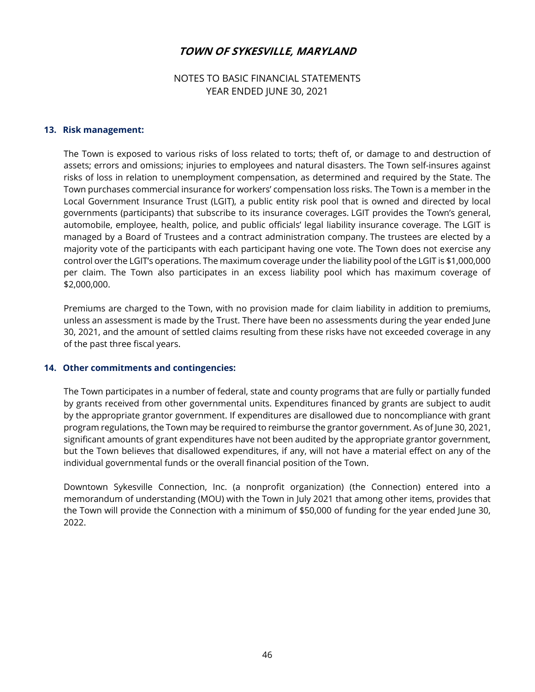## NOTES TO BASIC FINANCIAL STATEMENTS YEAR ENDED JUNE 30, 2021

#### **13. Risk management:**

The Town is exposed to various risks of loss related to torts; theft of, or damage to and destruction of assets; errors and omissions; injuries to employees and natural disasters. The Town self-insures against risks of loss in relation to unemployment compensation, as determined and required by the State. The Town purchases commercial insurance for workers' compensation loss risks. The Town is a member in the Local Government Insurance Trust (LGIT), a public entity risk pool that is owned and directed by local governments (participants) that subscribe to its insurance coverages. LGIT provides the Town's general, automobile, employee, health, police, and public officials' legal liability insurance coverage. The LGIT is managed by a Board of Trustees and a contract administration company. The trustees are elected by a majority vote of the participants with each participant having one vote. The Town does not exercise any control over the LGIT's operations. The maximum coverage under the liability pool of the LGIT is \$1,000,000 per claim. The Town also participates in an excess liability pool which has maximum coverage of \$2,000,000.

Premiums are charged to the Town, with no provision made for claim liability in addition to premiums, unless an assessment is made by the Trust. There have been no assessments during the year ended June 30, 2021, and the amount of settled claims resulting from these risks have not exceeded coverage in any of the past three fiscal years.

#### **14. Other commitments and contingencies:**

The Town participates in a number of federal, state and county programs that are fully or partially funded by grants received from other governmental units. Expenditures financed by grants are subject to audit by the appropriate grantor government. If expenditures are disallowed due to noncompliance with grant program regulations, the Town may be required to reimburse the grantor government. As of June 30, 2021, significant amounts of grant expenditures have not been audited by the appropriate grantor government, but the Town believes that disallowed expenditures, if any, will not have a material effect on any of the individual governmental funds or the overall financial position of the Town.

Downtown Sykesville Connection, Inc. (a nonprofit organization) (the Connection) entered into a memorandum of understanding (MOU) with the Town in July 2021 that among other items, provides that the Town will provide the Connection with a minimum of \$50,000 of funding for the year ended June 30, 2022.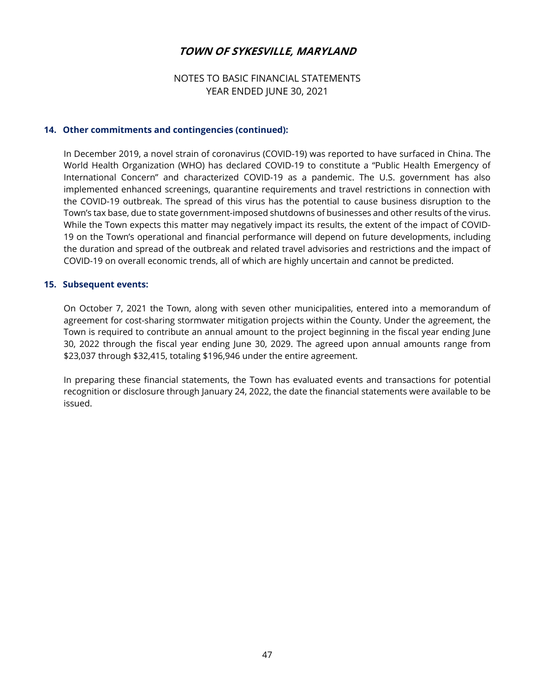## NOTES TO BASIC FINANCIAL STATEMENTS YEAR ENDED JUNE 30, 2021

#### **14. Other commitments and contingencies (continued):**

In December 2019, a novel strain of coronavirus (COVID-19) was reported to have surfaced in China. The World Health Organization (WHO) has declared COVID-19 to constitute a "Public Health Emergency of International Concern" and characterized COVID-19 as a pandemic. The U.S. government has also implemented enhanced screenings, quarantine requirements and travel restrictions in connection with the COVID-19 outbreak. The spread of this virus has the potential to cause business disruption to the Town's tax base, due to state government-imposed shutdowns of businesses and other results of the virus. While the Town expects this matter may negatively impact its results, the extent of the impact of COVID-19 on the Town's operational and financial performance will depend on future developments, including the duration and spread of the outbreak and related travel advisories and restrictions and the impact of COVID-19 on overall economic trends, all of which are highly uncertain and cannot be predicted.

#### **15. Subsequent events:**

On October 7, 2021 the Town, along with seven other municipalities, entered into a memorandum of agreement for cost-sharing stormwater mitigation projects within the County. Under the agreement, the Town is required to contribute an annual amount to the project beginning in the fiscal year ending June 30, 2022 through the fiscal year ending June 30, 2029. The agreed upon annual amounts range from \$23,037 through \$32,415, totaling \$196,946 under the entire agreement.

In preparing these financial statements, the Town has evaluated events and transactions for potential recognition or disclosure through January 24, 2022, the date the financial statements were available to be issued.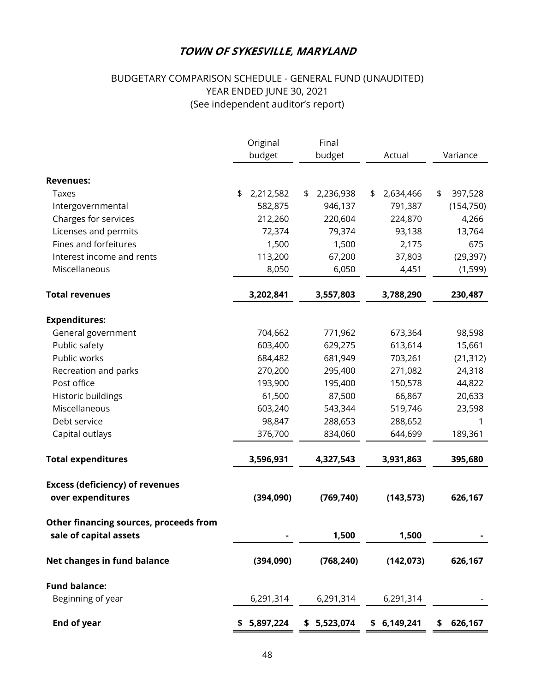# BUDGETARY COMPARISON SCHEDULE - GENERAL FUND (UNAUDITED) YEAR ENDED JUNE 30, 2021 (See independent auditor's report)

|                                        | Original        |        | Final           |                 |               |
|----------------------------------------|-----------------|--------|-----------------|-----------------|---------------|
|                                        | budget          |        | budget          | Actual          | Variance      |
| <b>Revenues:</b>                       |                 |        |                 |                 |               |
| Taxes                                  | \$<br>2,212,582 |        | 2,236,938<br>\$ | 2,634,466<br>\$ | \$<br>397,528 |
| Intergovernmental                      | 582,875         |        | 946,137         | 791,387         | (154, 750)    |
| Charges for services                   | 212,260         |        | 220,604         | 224,870         | 4,266         |
| Licenses and permits                   |                 | 72,374 | 79,374          | 93,138          | 13,764        |
| Fines and forfeitures                  |                 | 1,500  | 1,500           | 2,175           | 675           |
| Interest income and rents              | 113,200         |        | 67,200          | 37,803          | (29, 397)     |
| Miscellaneous                          |                 | 8,050  | 6,050           | 4,451           | (1, 599)      |
| <b>Total revenues</b>                  | 3,202,841       |        | 3,557,803       | 3,788,290       | 230,487       |
| <b>Expenditures:</b>                   |                 |        |                 |                 |               |
| General government                     | 704,662         |        | 771,962         | 673,364         | 98,598        |
| Public safety                          | 603,400         |        | 629,275         | 613,614         | 15,661        |
| Public works                           | 684,482         |        | 681,949         | 703,261         | (21, 312)     |
| Recreation and parks                   | 270,200         |        | 295,400         | 271,082         | 24,318        |
| Post office                            | 193,900         |        | 195,400         | 150,578         | 44,822        |
| Historic buildings                     |                 | 61,500 | 87,500          | 66,867          | 20,633        |
| Miscellaneous                          | 603,240         |        | 543,344         | 519,746         | 23,598        |
| Debt service                           |                 | 98,847 | 288,653         | 288,652         | 1             |
| Capital outlays                        | 376,700         |        | 834,060         | 644,699         | 189,361       |
| <b>Total expenditures</b>              | 3,596,931       |        | 4,327,543       | 3,931,863       | 395,680       |
| <b>Excess (deficiency) of revenues</b> |                 |        |                 |                 |               |
| over expenditures                      | (394,090)       |        | (769, 740)      | (143, 573)      | 626,167       |
| Other financing sources, proceeds from |                 |        |                 |                 |               |
| sale of capital assets                 |                 |        | 1,500           | 1,500           |               |
| Net changes in fund balance            | (394,090)       |        | (768, 240)      | (142, 073)      | 626,167       |
| <b>Fund balance:</b>                   |                 |        |                 |                 |               |
| Beginning of year                      | 6,291,314       |        | 6,291,314       | 6,291,314       |               |
| <b>End of year</b>                     | 5,897,224<br>S. |        | \$5,523,074     | \$6,149,241     | 626,167<br>\$ |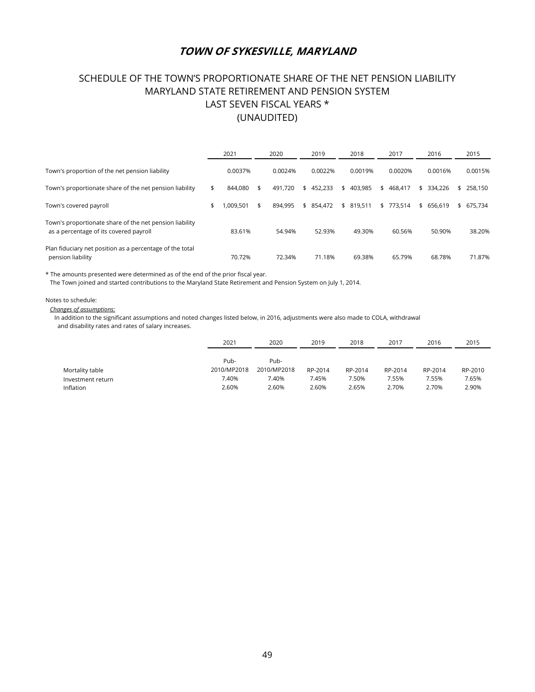## SCHEDULE OF THE TOWN'S PROPORTIONATE SHARE OF THE NET PENSION LIABILITY MARYLAND STATE RETIREMENT AND PENSION SYSTEM LAST SEVEN FISCAL YEARS \* (UNAUDITED)

|                                                                                                   | 2021           | 2020          | 2019          | 2018       | 2017       | 2016          | 2015          |
|---------------------------------------------------------------------------------------------------|----------------|---------------|---------------|------------|------------|---------------|---------------|
| Town's proportion of the net pension liability                                                    | 0.0037%        | 0.0024%       | 0.0022%       | 0.0019%    | 0.0020%    | 0.0016%       | 0.0015%       |
| Town's proportionate share of the net pension liability                                           | \$<br>844,080  | \$<br>491.720 | \$<br>452,233 | \$403.985  | \$468.417  | \$<br>334.226 | \$<br>258,150 |
| Town's covered payroll                                                                            | \$<br>.009.501 | \$<br>894.995 | \$ 854,472    | \$ 819.511 | \$ 773.514 | \$ 656.619    | \$<br>675,734 |
| Town's proportionate share of the net pension liability<br>as a percentage of its covered payroll | 83.61%         | 54.94%        | 52.93%        | 49.30%     | 60.56%     | 50.90%        | 38.20%        |
| Plan fiduciary net position as a percentage of the total<br>pension liability                     | 70.72%         | 72.34%        | 71.18%        | 69.38%     | 65.79%     | 68.78%        | 71.87%        |

\* The amounts presented were determined as of the end of the prior fiscal year.

The Town joined and started contributions to the Maryland State Retirement and Pension System on July 1, 2014.

#### Notes to schedule:

*Changes of assumptions:*

In addition to the significant assumptions and noted changes listed below, in 2016, adjustments were also made to COLA, withdrawal and disability rates and rates of salary increases.

|                   | 2021        | 2020        | 2019    | 2018    | 2017    | 2016    | 2015    |
|-------------------|-------------|-------------|---------|---------|---------|---------|---------|
|                   |             |             |         |         |         |         |         |
|                   | Pub-        | Pub-        |         |         |         |         |         |
| Mortality table   | 2010/MP2018 | 2010/MP2018 | RP-2014 | RP-2014 | RP-2014 | RP-2014 | RP-2010 |
| Investment return | 7.40%       | 40%.        | 7.45%   | 7.50%   | 7.55%   | 7.55%   | 7.65%   |
| Inflation         | 2.60%       | 2.60%       | 2.60%   | 2.65%   | 2.70%   | 2.70%   | 2.90%   |